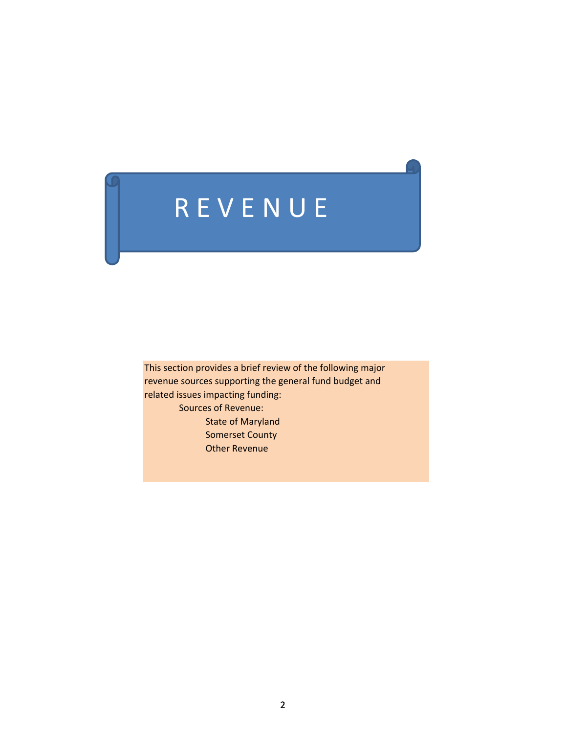# R E V E N U E

This section provides a brief review of the following major revenue sources supporting the general fund budget and related issues impacting funding: Sources of Revenue: State of Maryland Somerset County Other Revenue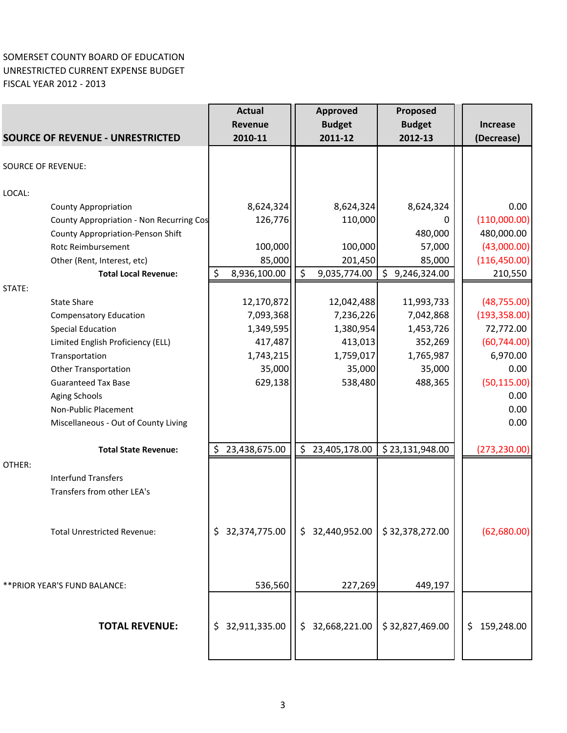## SOMERSET COUNTY BOARD OF EDUCATION UNRESTRICTED CURRENT EXPENSE BUDGET FISCAL YEAR 2012 ‐ 2013

|                                                 | <b>Actual</b>       |         | <b>Approved</b> | Proposed        |                 |
|-------------------------------------------------|---------------------|---------|-----------------|-----------------|-----------------|
|                                                 | Revenue             |         | <b>Budget</b>   | <b>Budget</b>   | <b>Increase</b> |
| <b>SOURCE OF REVENUE - UNRESTRICTED</b>         | 2010-11             |         | 2011-12         | 2012-13         | (Decrease)      |
| <b>SOURCE OF REVENUE:</b>                       |                     |         |                 |                 |                 |
|                                                 |                     |         |                 |                 |                 |
| LOCAL:                                          |                     |         |                 |                 |                 |
| <b>County Appropriation</b>                     | 8,624,324           |         | 8,624,324       | 8,624,324       | 0.00            |
| <b>County Appropriation - Non Recurring Cos</b> | 126,776             |         | 110,000         | 0               | (110,000.00)    |
| County Appropriation-Penson Shift               |                     |         |                 | 480,000         | 480,000.00      |
| Rotc Reimbursement                              | 100,000             |         | 100,000         | 57,000          | (43,000.00)     |
| Other (Rent, Interest, etc)                     | 85,000              |         | 201,450         | 85,000          | (116, 450.00)   |
| <b>Total Local Revenue:</b>                     | \$<br>8,936,100.00  | $\zeta$ | 9,035,774.00    | \$9,246,324.00  | 210,550         |
| STATE:                                          |                     |         |                 |                 |                 |
| <b>State Share</b>                              | 12,170,872          |         | 12,042,488      | 11,993,733      | (48, 755.00)    |
| <b>Compensatory Education</b>                   | 7,093,368           |         | 7,236,226       | 7,042,868       | (193, 358.00)   |
| <b>Special Education</b>                        | 1,349,595           |         | 1,380,954       | 1,453,726       | 72,772.00       |
| Limited English Proficiency (ELL)               | 417,487             |         | 413,013         | 352,269         | (60, 744.00)    |
| Transportation                                  | 1,743,215           |         | 1,759,017       | 1,765,987       | 6,970.00        |
| <b>Other Transportation</b>                     | 35,000              |         | 35,000          | 35,000          | 0.00            |
| <b>Guaranteed Tax Base</b>                      | 629,138             |         | 538,480         | 488,365         | (50, 115.00)    |
| <b>Aging Schools</b>                            |                     |         |                 |                 | 0.00            |
| Non-Public Placement                            |                     |         |                 |                 | 0.00            |
| Miscellaneous - Out of County Living            |                     |         |                 |                 | 0.00            |
| <b>Total State Revenue:</b>                     | \$<br>23,438,675.00 | \$      | 23,405,178.00   | \$23,131,948.00 | (273, 230.00)   |
| OTHER:                                          |                     |         |                 |                 |                 |
| <b>Interfund Transfers</b>                      |                     |         |                 |                 |                 |
| Transfers from other LEA's                      |                     |         |                 |                 |                 |
|                                                 |                     |         |                 |                 |                 |
| <b>Total Unrestricted Revenue:</b>              | \$32,374,775.00     |         | \$32,440,952.00 | \$32,378,272.00 | (62,680.00)     |
|                                                 |                     |         |                 |                 |                 |
|                                                 |                     |         |                 |                 |                 |
| ** PRIOR YEAR'S FUND BALANCE:                   | 536,560             |         | 227,269         | 449,197         |                 |
|                                                 |                     |         |                 |                 |                 |
|                                                 |                     |         |                 |                 |                 |
| <b>TOTAL REVENUE:</b>                           | \$32,911,335.00     | \$      | 32,668,221.00   | \$32,827,469.00 | \$159,248.00    |
|                                                 |                     |         |                 |                 |                 |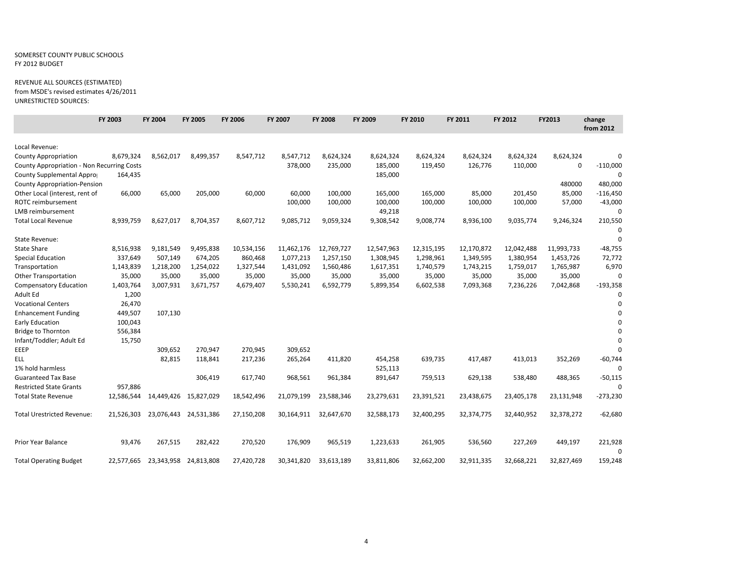#### SOMERSET COUNTY PUBLIC SCHOOLS FY 2012 BUDGET

#### REVENUE ALL SOURCES (ESTIMATED) from MSDE's revised estimates 4/26/2011

UNRESTRICTED SOURCES:

|                                            | FY 2003    | FY 2004    | FY 2005               | FY 2006    | FY 2007    | <b>FY 2008</b> | FY 2009    | FY 2010    | FY 2011    | FY 2012    | FY2013     | change<br>from 2012 |
|--------------------------------------------|------------|------------|-----------------------|------------|------------|----------------|------------|------------|------------|------------|------------|---------------------|
| Local Revenue:                             |            |            |                       |            |            |                |            |            |            |            |            |                     |
| <b>County Appropriation</b>                | 8,679,324  | 8,562,017  | 8,499,357             | 8,547,712  | 8,547,712  | 8,624,324      | 8,624,324  | 8,624,324  | 8,624,324  | 8,624,324  | 8,624,324  | $\Omega$            |
| County Appropriation - Non Recurring Costs |            |            |                       |            | 378,000    | 235,000        | 185,000    | 119,450    | 126,776    | 110,000    | 0          | $-110,000$          |
| County Supplemental Appro                  | 164,435    |            |                       |            |            |                | 185,000    |            |            |            |            | $\Omega$            |
| <b>County Appropriation-Pension</b>        |            |            |                       |            |            |                |            |            |            |            | 480000     | 480,000             |
| Other Local (interest, rent of             | 66,000     | 65,000     | 205,000               | 60,000     | 60,000     | 100,000        | 165,000    | 165,000    | 85,000     | 201,450    | 85,000     | $-116,450$          |
| ROTC reimbursement                         |            |            |                       |            | 100,000    | 100,000        | 100,000    | 100,000    | 100,000    | 100,000    | 57,000     | $-43,000$           |
| <b>LMB</b> reimbursement                   |            |            |                       |            |            |                | 49,218     |            |            |            |            | $\Omega$            |
| <b>Total Local Revenue</b>                 | 8,939,759  | 8,627,017  | 8,704,357             | 8,607,712  | 9,085,712  | 9,059,324      | 9,308,542  | 9,008,774  | 8,936,100  | 9,035,774  | 9,246,324  | 210,550             |
|                                            |            |            |                       |            |            |                |            |            |            |            |            | $\Omega$            |
| <b>State Revenue:</b>                      |            |            |                       |            |            |                |            |            |            |            |            | $\mathbf 0$         |
| <b>State Share</b>                         | 8,516,938  | 9,181,549  | 9,495,838             | 10,534,156 | 11,462,176 | 12,769,727     | 12,547,963 | 12,315,195 | 12,170,872 | 12,042,488 | 11,993,733 | $-48,755$           |
| <b>Special Education</b>                   | 337,649    | 507,149    | 674,205               | 860,468    | 1,077,213  | 1,257,150      | 1,308,945  | 1,298,961  | 1,349,595  | 1,380,954  | 1,453,726  | 72,772              |
| Transportation                             | 1,143,839  | 1,218,200  | 1,254,022             | 1,327,544  | 1,431,092  | 1,560,486      | 1,617,351  | 1,740,579  | 1,743,215  | 1,759,017  | 1,765,987  | 6,970               |
| <b>Other Transportation</b>                | 35,000     | 35,000     | 35,000                | 35,000     | 35,000     | 35,000         | 35,000     | 35,000     | 35,000     | 35,000     | 35,000     | $\Omega$            |
| <b>Compensatory Education</b>              | 1,403,764  | 3,007,931  | 3,671,757             | 4,679,407  | 5,530,241  | 6,592,779      | 5,899,354  | 6,602,538  | 7,093,368  | 7,236,226  | 7,042,868  | $-193,358$          |
| Adult Ed                                   | 1,200      |            |                       |            |            |                |            |            |            |            |            | 0                   |
| <b>Vocational Centers</b>                  | 26,470     |            |                       |            |            |                |            |            |            |            |            | $\Omega$            |
| <b>Enhancement Funding</b>                 | 449,507    | 107,130    |                       |            |            |                |            |            |            |            |            | $\Omega$            |
| <b>Early Education</b>                     | 100,043    |            |                       |            |            |                |            |            |            |            |            |                     |
| Bridge to Thornton                         | 556,384    |            |                       |            |            |                |            |            |            |            |            |                     |
| Infant/Toddler; Adult Ed                   | 15,750     |            |                       |            |            |                |            |            |            |            |            | n                   |
| EEEP                                       |            | 309,652    | 270,947               | 270,945    | 309,652    |                |            |            |            |            |            |                     |
| ELL.                                       |            | 82,815     | 118,841               | 217,236    | 265,264    | 411,820        | 454,258    | 639,735    | 417,487    | 413,013    | 352,269    | $-60,744$           |
| 1% hold harmless                           |            |            |                       |            |            |                | 525,113    |            |            |            |            | $\Omega$            |
| <b>Guaranteed Tax Base</b>                 |            |            | 306,419               | 617,740    | 968,561    | 961,384        | 891,647    | 759,513    | 629,138    | 538,480    | 488,365    | $-50,115$           |
| <b>Restricted State Grants</b>             | 957,886    |            |                       |            |            |                |            |            |            |            |            |                     |
| <b>Total State Revenue</b>                 | 12,586,544 | 14,449,426 | 15,827,029            | 18,542,496 | 21,079,199 | 23,588,346     | 23,279,631 | 23,391,521 | 23,438,675 | 23,405,178 | 23,131,948 | $-273,230$          |
| <b>Total Urestricted Revenue:</b>          | 21,526,303 | 23,076,443 | 24,531,386            | 27,150,208 | 30,164,911 | 32,647,670     | 32,588,173 | 32,400,295 | 32,374,775 | 32,440,952 | 32,378,272 | $-62,680$           |
| Prior Year Balance                         | 93,476     | 267,515    | 282,422               | 270,520    | 176,909    | 965,519        | 1,223,633  | 261,905    | 536,560    | 227,269    | 449,197    | 221,928             |
| <b>Total Operating Budget</b>              | 22,577,665 |            | 23,343,958 24,813,808 | 27,420,728 | 30,341,820 | 33,613,189     | 33,811,806 | 32,662,200 | 32,911,335 | 32,668,221 | 32,827,469 | $\Omega$<br>159,248 |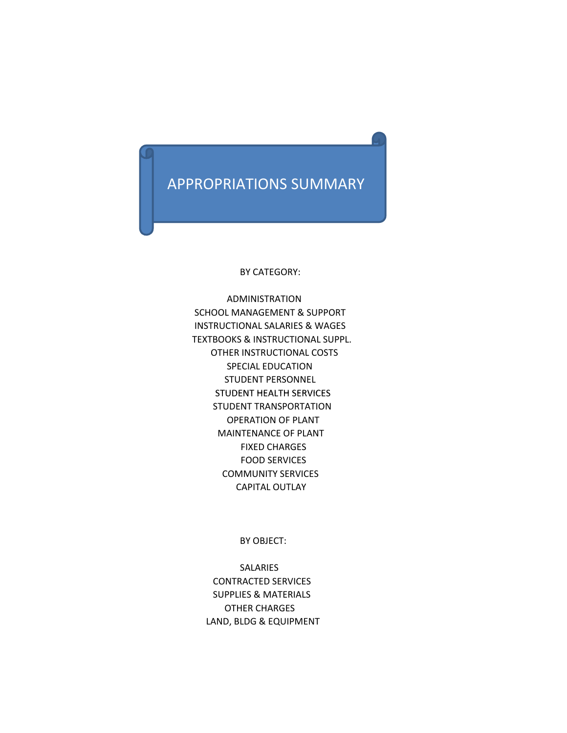## APPROPRIATIONS SUMMARY

BY CATEGORY:

 ADMINISTRATION SCHOOL MANAGEMENT & SUPPORT INSTRUCTIONAL SALARIES & WAGES TEXTBOOKS & INSTRUCTIONAL SUPPL. OTHER INSTRUCTIONAL COSTS SPECIAL EDUCATION STUDENT PERSONNEL STUDENT HEALTH SERVICES STUDENT TRANSPORTATION OPERATION OF PLANT MAINTENANCE OF PLANT FIXED CHARGES FOOD SERVICES COMMUNITY SERVICES CAPITAL OUTLAY

BY OBJECT:

SALARIES CONTRACTED SERVICES SUPPLIES & MATERIALS OTHER CHARGES LAND, BLDG & EQUIPMENT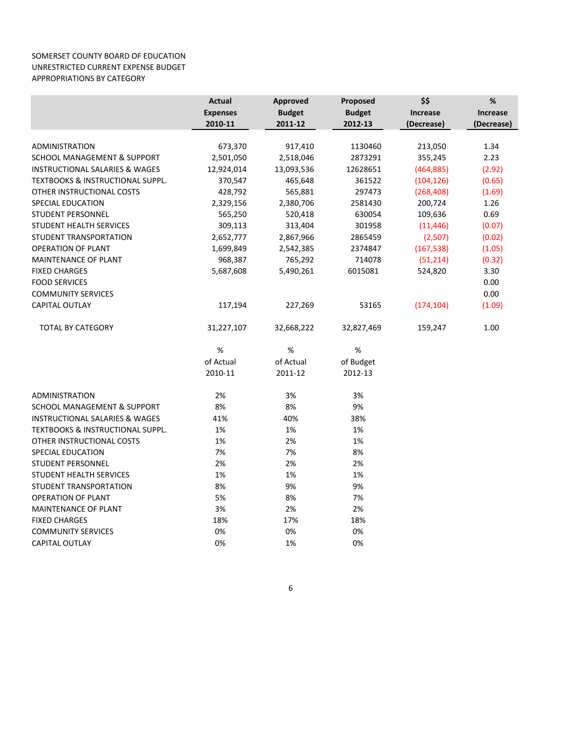#### SOMERSET COUNTY BOARD OF EDUCATION UNRESTRICTED CURRENT EXPENSE BUDGET APPROPRIATIONS BY CATEGORY

|                                             | <b>Actual</b>   | Approved      | Proposed      | \$\$            | $\%$            |
|---------------------------------------------|-----------------|---------------|---------------|-----------------|-----------------|
|                                             | <b>Expenses</b> | <b>Budget</b> | <b>Budget</b> | <b>Increase</b> | <b>Increase</b> |
|                                             | 2010-11         | 2011-12       | 2012-13       | (Decrease)      | (Decrease)      |
|                                             |                 |               |               |                 |                 |
| <b>ADMINISTRATION</b>                       | 673,370         | 917,410       | 1130460       | 213,050         | 1.34            |
| <b>SCHOOL MANAGEMENT &amp; SUPPORT</b>      | 2,501,050       | 2,518,046     | 2873291       | 355,245         | 2.23            |
| <b>INSTRUCTIONAL SALARIES &amp; WAGES</b>   | 12,924,014      | 13,093,536    | 12628651      | (464, 885)      | (2.92)          |
| <b>TEXTBOOKS &amp; INSTRUCTIONAL SUPPL.</b> | 370,547         | 465,648       | 361522        | (104, 126)      | (0.65)          |
| OTHER INSTRUCTIONAL COSTS                   | 428,792         | 565,881       | 297473        | (268, 408)      | (1.69)          |
| SPECIAL EDUCATION                           | 2,329,156       | 2,380,706     | 2581430       | 200,724         | 1.26            |
| <b>STUDENT PERSONNEL</b>                    | 565,250         | 520,418       | 630054        | 109,636         | 0.69            |
| <b>STUDENT HEALTH SERVICES</b>              | 309,113         | 313,404       | 301958        | (11, 446)       | (0.07)          |
| STUDENT TRANSPORTATION                      | 2,652,777       | 2,867,966     | 2865459       | (2,507)         | (0.02)          |
| <b>OPERATION OF PLANT</b>                   | 1,699,849       | 2,542,385     | 2374847       | (167, 538)      | (1.05)          |
| <b>MAINTENANCE OF PLANT</b>                 | 968,387         | 765,292       | 714078        | (51, 214)       | (0.32)          |
| <b>FIXED CHARGES</b>                        | 5,687,608       | 5,490,261     | 6015081       | 524,820         | 3.30            |
| <b>FOOD SERVICES</b>                        |                 |               |               |                 | 0.00            |
| <b>COMMUNITY SERVICES</b>                   |                 |               |               |                 | 0.00            |
| CAPITAL OUTLAY                              | 117,194         | 227,269       | 53165         | (174, 104)      | (1.09)          |
| <b>TOTAL BY CATEGORY</b>                    | 31,227,107      | 32,668,222    | 32,827,469    | 159,247         | 1.00            |
|                                             | $\%$            | %             | %             |                 |                 |
|                                             | of Actual       | of Actual     | of Budget     |                 |                 |
|                                             | 2010-11         | 2011-12       | 2012-13       |                 |                 |
| <b>ADMINISTRATION</b>                       | 2%              | 3%            | 3%            |                 |                 |
| SCHOOL MANAGEMENT & SUPPORT                 | 8%              | 8%            | 9%            |                 |                 |
| <b>INSTRUCTIONAL SALARIES &amp; WAGES</b>   | 41%             | 40%           | 38%           |                 |                 |
| <b>TEXTBOOKS &amp; INSTRUCTIONAL SUPPL.</b> | 1%              | 1%            | 1%            |                 |                 |
| OTHER INSTRUCTIONAL COSTS                   | 1%              | 2%            | 1%            |                 |                 |
| <b>SPECIAL EDUCATION</b>                    | 7%              | 7%            | 8%            |                 |                 |
| <b>STUDENT PERSONNEL</b>                    | 2%              | 2%            | 2%            |                 |                 |
| <b>STUDENT HEALTH SERVICES</b>              | 1%              | 1%            | 1%            |                 |                 |
| <b>STUDENT TRANSPORTATION</b>               | 8%              | 9%            | 9%            |                 |                 |
| <b>OPERATION OF PLANT</b>                   | 5%              | 8%            | 7%            |                 |                 |
| <b>MAINTENANCE OF PLANT</b>                 | 3%              | 2%            | 2%            |                 |                 |
| <b>FIXED CHARGES</b>                        | 18%             | 17%           | 18%           |                 |                 |
| <b>COMMUNITY SERVICES</b>                   | 0%              | 0%            | 0%            |                 |                 |
| CAPITAL OUTLAY                              | 0%              | 1%            | 0%            |                 |                 |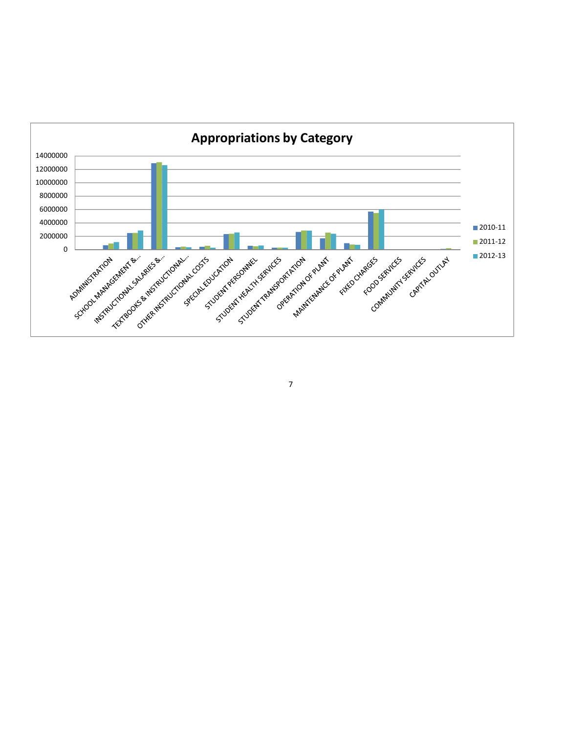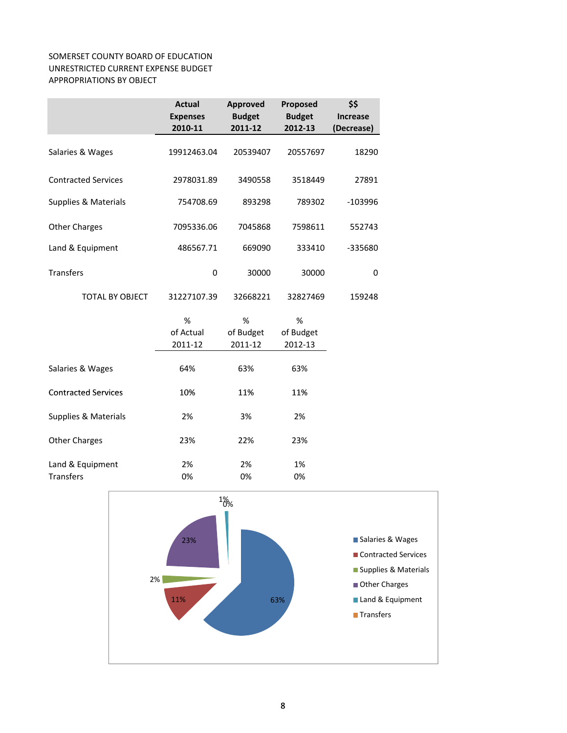### SOMERSET COUNTY BOARD OF EDUCATION UNRESTRICTED CURRENT EXPENSE BUDGET APPROPRIATIONS BY OBJECT

|                                 | <b>Actual</b>   | <b>Approved</b> | Proposed      | \$\$            |
|---------------------------------|-----------------|-----------------|---------------|-----------------|
|                                 | <b>Expenses</b> | <b>Budget</b>   | <b>Budget</b> | <b>Increase</b> |
|                                 | 2010-11         | 2011-12         | 2012-13       | (Decrease)      |
| Salaries & Wages                | 19912463.04     | 20539407        | 20557697      | 18290           |
| <b>Contracted Services</b>      | 2978031.89      | 3490558         | 3518449       | 27891           |
| <b>Supplies &amp; Materials</b> | 754708.69       | 893298          | 789302        | $-103996$       |
| <b>Other Charges</b>            | 7095336.06      | 7045868         | 7598611       | 552743          |
| Land & Equipment                | 486567.71       | 669090          | 333410        | -335680         |
| <b>Transfers</b>                | 0               | 30000           | 30000         | 0               |
| <b>TOTAL BY OBJECT</b>          | 31227107.39     | 32668221        | 32827469      | 159248          |
|                                 | %               | $\%$            | $\%$          |                 |
|                                 | of Actual       | of Budget       | of Budget     |                 |
|                                 | 2011-12         | 2011-12         | 2012-13       |                 |
| Salaries & Wages                | 64%             | 63%             | 63%           |                 |
| <b>Contracted Services</b>      | 10%             | 11%             | 11%           |                 |
| Supplies & Materials            | 2%              | 3%              | 2%            |                 |
| <b>Other Charges</b>            | 23%             | 22%             | 23%           |                 |
| Land & Equipment                | 2%              | 2%              | 1%            |                 |
| <b>Transfers</b>                | 0%              | 0%              | 0%            |                 |

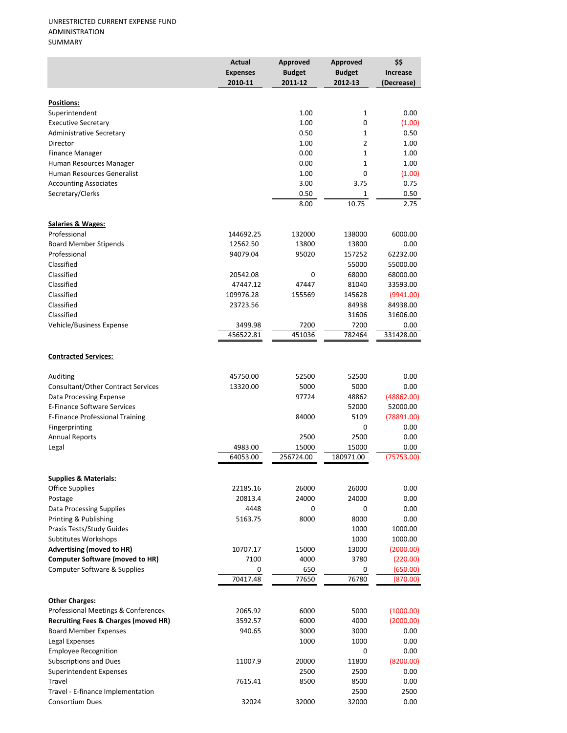|                                                                 | Actual<br><b>Expenses</b><br>2010-11 | Approved<br><b>Budget</b><br>2011-12 | Approved<br><b>Budget</b><br>2012-13 | \$\$<br><b>Increase</b><br>(Decrease) |
|-----------------------------------------------------------------|--------------------------------------|--------------------------------------|--------------------------------------|---------------------------------------|
|                                                                 |                                      |                                      |                                      |                                       |
| Positions:<br>Superintendent                                    |                                      | 1.00                                 | 1                                    | 0.00                                  |
| <b>Executive Secretary</b>                                      |                                      | 1.00                                 | 0                                    | (1.00)                                |
| Administrative Secretary                                        |                                      | 0.50                                 | 1                                    | 0.50                                  |
| Director                                                        |                                      | 1.00                                 | 2                                    | 1.00                                  |
| <b>Finance Manager</b>                                          |                                      | 0.00                                 | 1                                    | 1.00                                  |
| Human Resources Manager                                         |                                      | 0.00                                 | $\mathbf{1}$                         | 1.00                                  |
| Human Resources Generalist                                      |                                      | 1.00                                 | 0                                    | (1.00)                                |
| <b>Accounting Associates</b>                                    |                                      | 3.00                                 | 3.75                                 | 0.75                                  |
| Secretary/Clerks                                                |                                      | 0.50                                 | 1                                    | 0.50                                  |
|                                                                 |                                      | 8.00                                 | 10.75                                | 2.75                                  |
| <b>Salaries &amp; Wages:</b>                                    |                                      |                                      |                                      |                                       |
| Professional                                                    | 144692.25                            | 132000                               | 138000                               | 6000.00                               |
| <b>Board Member Stipends</b>                                    | 12562.50                             | 13800                                | 13800                                | 0.00                                  |
| Professional                                                    | 94079.04                             | 95020                                | 157252                               | 62232.00                              |
| Classified                                                      |                                      |                                      | 55000                                | 55000.00                              |
| Classified                                                      | 20542.08                             | 0                                    | 68000                                | 68000.00                              |
| Classified<br>Classified                                        | 47447.12                             | 47447                                | 81040                                | 33593.00                              |
| Classified                                                      | 109976.28<br>23723.56                | 155569                               | 145628<br>84938                      | (9941.00)<br>84938.00                 |
| Classified                                                      |                                      |                                      | 31606                                | 31606.00                              |
| Vehicle/Business Expense                                        | 3499.98                              | 7200                                 | 7200                                 | 0.00                                  |
|                                                                 | 456522.81                            | 451036                               | 782464                               | 331428.00                             |
| <b>Contracted Services:</b>                                     |                                      |                                      |                                      |                                       |
|                                                                 |                                      |                                      |                                      |                                       |
| Auditing                                                        | 45750.00                             | 52500                                | 52500                                | 0.00                                  |
| Consultant/Other Contract Services<br>Data Processing Expense   | 13320.00                             | 5000<br>97724                        | 5000<br>48862                        | 0.00<br>(48862.00)                    |
| E-Finance Software Services                                     |                                      |                                      | 52000                                | 52000.00                              |
| <b>E-Finance Professional Training</b>                          |                                      | 84000                                | 5109                                 | (78891.00)                            |
| Fingerprinting                                                  |                                      |                                      | $\mathbf 0$                          | 0.00                                  |
| <b>Annual Reports</b>                                           |                                      | 2500                                 | 2500                                 | 0.00                                  |
| Legal                                                           | 4983.00                              | 15000                                | 15000                                | 0.00                                  |
|                                                                 | 64053.00                             | 256724.00                            | 180971.00                            | (75753.00)                            |
| <b>Supplies &amp; Materials:</b>                                |                                      |                                      |                                      |                                       |
| <b>Office Supplies</b>                                          | 22185.16                             | 26000                                | 26000                                | 0.00                                  |
| Postage                                                         | 20813.4                              | 24000                                | 24000                                | 0.00                                  |
| Data Processing Supplies                                        | 4448                                 | 0                                    | 0                                    | 0.00                                  |
| Printing & Publishing                                           | 5163.75                              | 8000                                 | 8000                                 | 0.00                                  |
| Praxis Tests/Study Guides                                       |                                      |                                      | 1000                                 | 1000.00                               |
| Subtitutes Workshops                                            |                                      |                                      | 1000                                 | 1000.00                               |
| <b>Advertising (moved to HR)</b>                                | 10707.17                             | 15000                                | 13000                                | (2000.00)                             |
| <b>Computer Software (moved to HR)</b>                          | 7100                                 | 4000                                 | 3780                                 | (220.00)                              |
| Computer Software & Supplies                                    | 0<br>70417.48                        | 650<br>77650                         | 0<br>76780                           | (650.00)<br>(870.00)                  |
|                                                                 |                                      |                                      |                                      |                                       |
| <b>Other Charges:</b>                                           |                                      |                                      |                                      |                                       |
| Professional Meetings & Conferences                             | 2065.92                              | 6000                                 | 5000                                 | (1000.00)                             |
| <b>Recruiting Fees &amp; Charges (moved HR)</b>                 | 3592.57                              | 6000                                 | 4000                                 | (2000.00)                             |
| <b>Board Member Expenses</b>                                    | 940.65                               | 3000                                 | 3000                                 | 0.00                                  |
| Legal Expenses                                                  |                                      | 1000                                 | 1000                                 | 0.00                                  |
| <b>Employee Recognition</b>                                     |                                      |                                      | 0                                    | 0.00                                  |
| <b>Subscriptions and Dues</b><br><b>Superintendent Expenses</b> | 11007.9                              | 20000<br>2500                        | 11800<br>2500                        | (8200.00)<br>0.00                     |
| Travel                                                          | 7615.41                              | 8500                                 | 8500                                 | 0.00                                  |
| Travel - E-finance Implementation                               |                                      |                                      | 2500                                 | 2500                                  |
| <b>Consortium Dues</b>                                          | 32024                                | 32000                                | 32000                                | 0.00                                  |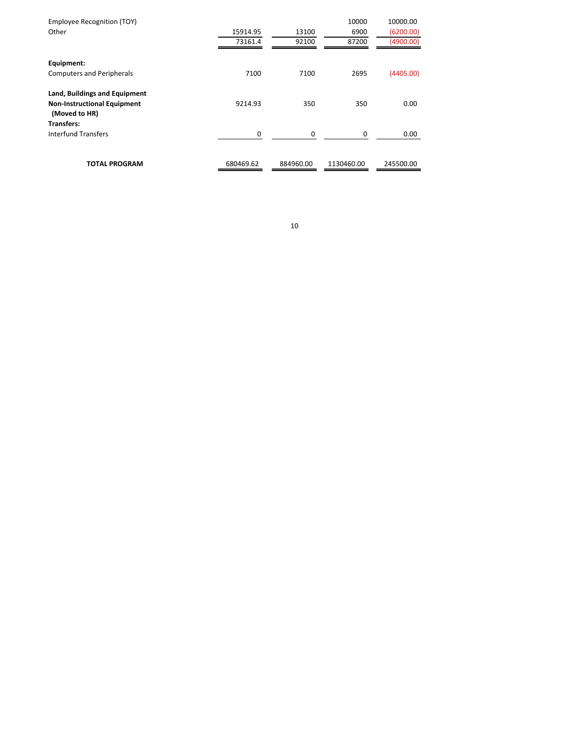| Employee Recognition (TOY)<br>Other                                                         | 15914.95<br>73161.4 | 13100<br>92100 | 10000<br>6900<br>87200 | 10000.00<br>(6200.00)<br>(4900.00) |
|---------------------------------------------------------------------------------------------|---------------------|----------------|------------------------|------------------------------------|
| Equipment:<br><b>Computers and Peripherals</b>                                              | 7100                | 7100           | 2695                   | (4405.00)                          |
| <b>Land, Buildings and Equipment</b><br><b>Non-Instructional Equipment</b><br>(Moved to HR) | 9214.93             | 350            | 350                    | 0.00                               |
| <b>Transfers:</b><br>Interfund Transfers                                                    | 0                   | 0              | 0                      | 0.00                               |
| <b>TOTAL PROGRAM</b>                                                                        | 680469.62           | 884960.00      | 1130460.00             | 245500.00                          |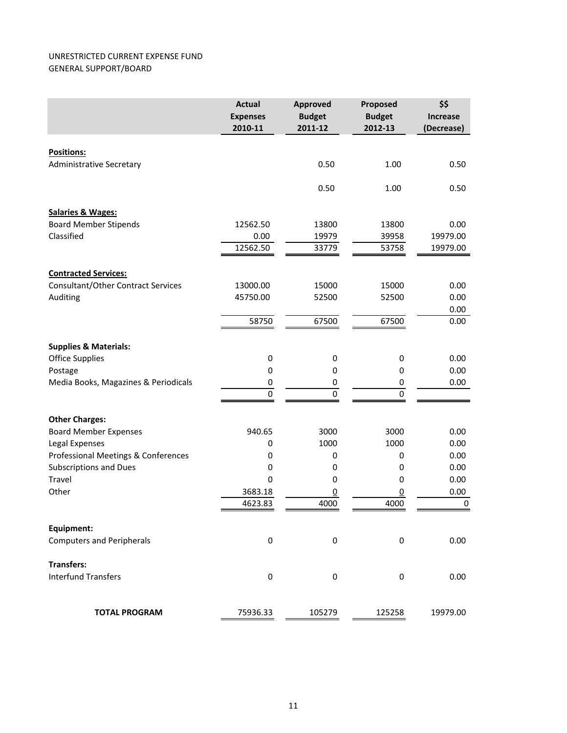#### UNRESTRICTED CURRENT EXPENSE FUND GENERAL SUPPORT/BOARD

|                                      | <b>Actual</b><br><b>Expenses</b><br>2010-11 | <b>Approved</b><br><b>Budget</b><br>2011-12 | Proposed<br><b>Budget</b><br>2012-13 | \$\$<br><b>Increase</b><br>(Decrease) |
|--------------------------------------|---------------------------------------------|---------------------------------------------|--------------------------------------|---------------------------------------|
| <b>Positions:</b>                    |                                             |                                             |                                      |                                       |
| <b>Administrative Secretary</b>      |                                             | 0.50                                        | 1.00                                 | 0.50                                  |
|                                      |                                             | 0.50                                        | 1.00                                 | 0.50                                  |
| <b>Salaries &amp; Wages:</b>         |                                             |                                             |                                      |                                       |
| <b>Board Member Stipends</b>         | 12562.50                                    | 13800                                       | 13800                                | 0.00                                  |
| Classified                           | 0.00                                        | 19979                                       | 39958                                | 19979.00                              |
|                                      | 12562.50                                    | 33779                                       | 53758                                | 19979.00                              |
| <b>Contracted Services:</b>          |                                             |                                             |                                      |                                       |
| Consultant/Other Contract Services   | 13000.00                                    | 15000                                       | 15000                                | 0.00                                  |
| Auditing                             | 45750.00                                    | 52500                                       | 52500                                | 0.00                                  |
|                                      |                                             |                                             |                                      | 0.00                                  |
|                                      | 58750                                       | 67500                                       | 67500                                | 0.00                                  |
| <b>Supplies &amp; Materials:</b>     |                                             |                                             |                                      |                                       |
| <b>Office Supplies</b>               | $\boldsymbol{0}$                            | 0                                           | $\bf{0}$                             | 0.00                                  |
| Postage                              | $\boldsymbol{0}$                            | 0                                           | 0                                    | 0.00                                  |
| Media Books, Magazines & Periodicals | 0                                           | 0                                           | 0                                    | 0.00                                  |
|                                      | $\pmb{0}$                                   | $\pmb{0}$                                   | $\pmb{0}$                            |                                       |
| <b>Other Charges:</b>                |                                             |                                             |                                      |                                       |
| <b>Board Member Expenses</b>         | 940.65                                      | 3000                                        | 3000                                 | 0.00                                  |
| Legal Expenses                       | 0                                           | 1000                                        | 1000                                 | 0.00                                  |
| Professional Meetings & Conferences  | 0                                           | $\mathbf 0$                                 | $\mathbf 0$                          | 0.00                                  |
| <b>Subscriptions and Dues</b>        | $\boldsymbol{0}$                            | 0                                           | 0                                    | 0.00                                  |
| Travel                               | $\mathbf 0$                                 | 0                                           | 0                                    | 0.00                                  |
| Other                                | 3683.18                                     | $\underline{0}$                             | $\overline{0}$                       | 0.00                                  |
|                                      | 4623.83                                     | 4000                                        | 4000                                 | $\pmb{0}$                             |
| Equipment:                           |                                             |                                             |                                      |                                       |
| <b>Computers and Peripherals</b>     | $\boldsymbol{0}$                            | 0                                           | $\bf{0}$                             | 0.00                                  |
| <b>Transfers:</b>                    |                                             |                                             |                                      |                                       |
| <b>Interfund Transfers</b>           | $\boldsymbol{0}$                            | $\bf{0}$                                    | $\bf{0}$                             | 0.00                                  |
| <b>TOTAL PROGRAM</b>                 | 75936.33                                    | 105279                                      | 125258                               | 19979.00                              |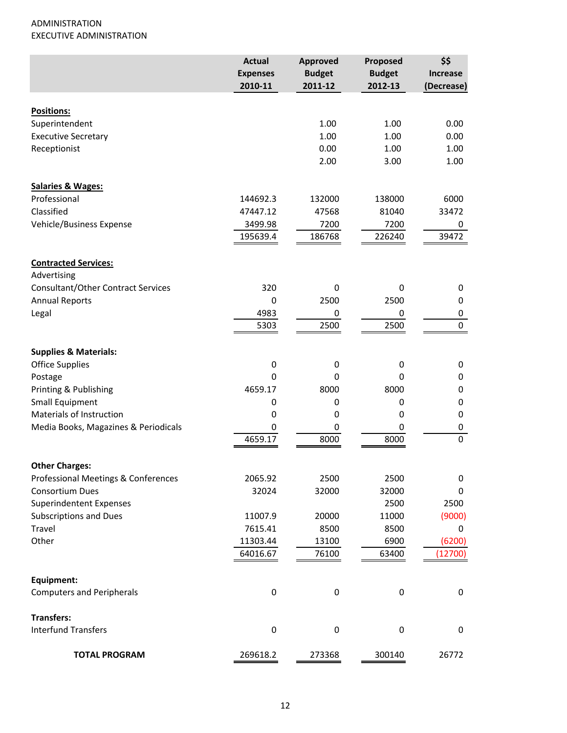## ADMINISTRATION EXECUTIVE ADMINISTRATION

|                                           | <b>Actual</b><br><b>Expenses</b> | <b>Approved</b><br><b>Budget</b> | Proposed<br><b>Budget</b> | \$\$<br><b>Increase</b> |
|-------------------------------------------|----------------------------------|----------------------------------|---------------------------|-------------------------|
|                                           | 2010-11                          | 2011-12                          | 2012-13                   | (Decrease)              |
|                                           |                                  |                                  |                           |                         |
| Positions:                                |                                  |                                  |                           |                         |
| Superintendent                            |                                  | 1.00                             | 1.00                      | 0.00                    |
| <b>Executive Secretary</b>                |                                  | 1.00                             | 1.00                      | 0.00                    |
| Receptionist                              |                                  | 0.00<br>2.00                     | 1.00<br>3.00              | 1.00<br>1.00            |
|                                           |                                  |                                  |                           |                         |
| <b>Salaries &amp; Wages:</b>              |                                  |                                  |                           |                         |
| Professional                              | 144692.3                         | 132000                           | 138000                    | 6000                    |
| Classified                                | 47447.12                         | 47568                            | 81040                     | 33472                   |
| Vehicle/Business Expense                  | 3499.98                          | 7200                             | 7200                      | 0                       |
|                                           | 195639.4                         | 186768                           | 226240                    | 39472                   |
| <b>Contracted Services:</b>               |                                  |                                  |                           |                         |
| Advertising                               |                                  |                                  |                           |                         |
| <b>Consultant/Other Contract Services</b> | 320                              | 0                                | 0                         | 0                       |
| <b>Annual Reports</b>                     | 0                                | 2500                             | 2500                      | 0                       |
| Legal                                     | 4983                             | 0                                | 0                         | 0                       |
|                                           | 5303                             | 2500                             | 2500                      | $\pmb{0}$               |
|                                           |                                  |                                  |                           |                         |
| <b>Supplies &amp; Materials:</b>          |                                  |                                  |                           |                         |
| <b>Office Supplies</b>                    | $\pmb{0}$                        | 0                                | 0                         | 0                       |
| Postage                                   | 0                                | 0                                | 0                         | 0                       |
| Printing & Publishing                     | 4659.17                          | 8000                             | 8000                      | 0                       |
| Small Equipment                           | 0                                | 0                                | 0                         | 0                       |
| <b>Materials of Instruction</b>           | 0                                | 0                                | 0                         | 0                       |
| Media Books, Magazines & Periodicals      | 0                                | 0                                | 0                         | 0                       |
|                                           | 4659.17                          | 8000                             | 8000                      | $\mathbf 0$             |
| <b>Other Charges:</b>                     |                                  |                                  |                           |                         |
| Professional Meetings & Conferences       | 2065.92                          | 2500                             | 2500                      | 0                       |
| <b>Consortium Dues</b>                    | 32024                            | 32000                            | 32000                     | 0                       |
| <b>Superindentent Expenses</b>            |                                  |                                  | 2500                      | 2500                    |
| <b>Subscriptions and Dues</b>             | 11007.9                          | 20000                            | 11000                     | (9000)                  |
| Travel                                    | 7615.41                          | 8500                             | 8500                      | 0                       |
| Other                                     | 11303.44                         | 13100                            | 6900                      | (6200)                  |
|                                           | 64016.67                         | 76100                            | 63400                     | (12700)                 |
|                                           |                                  |                                  |                           |                         |
| Equipment:                                |                                  |                                  |                           |                         |
| <b>Computers and Peripherals</b>          | 0                                | 0                                | $\boldsymbol{0}$          | 0                       |
| <b>Transfers:</b>                         |                                  |                                  |                           |                         |
| <b>Interfund Transfers</b>                | $\pmb{0}$                        | 0                                | $\pmb{0}$                 | $\pmb{0}$               |
| <b>TOTAL PROGRAM</b>                      | 269618.2                         | 273368                           | 300140                    | 26772                   |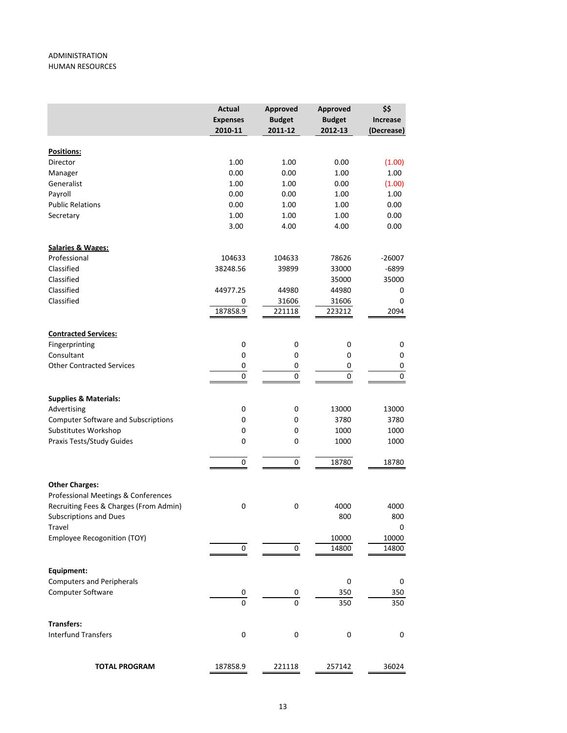#### ADMINISTRATION HUMAN RESOURCES

|                                            | <b>Actual</b><br><b>Expenses</b><br>2010-11 | Approved<br><b>Budget</b><br>2011-12 | Approved<br><b>Budget</b><br>2012-13 | \$\$<br><b>Increase</b><br>(Decrease) |
|--------------------------------------------|---------------------------------------------|--------------------------------------|--------------------------------------|---------------------------------------|
|                                            |                                             |                                      |                                      |                                       |
| Positions:                                 |                                             |                                      |                                      |                                       |
| Director                                   | 1.00                                        | 1.00                                 | 0.00                                 | (1.00)                                |
| Manager                                    | 0.00                                        | 0.00                                 | 1.00                                 | 1.00                                  |
| Generalist                                 | 1.00                                        | 1.00                                 | 0.00                                 | (1.00)                                |
| Payroll                                    | 0.00                                        | 0.00                                 | 1.00                                 | 1.00                                  |
| <b>Public Relations</b>                    | 0.00                                        | 1.00                                 | 1.00                                 | 0.00                                  |
| Secretary                                  | 1.00<br>3.00                                | 1.00<br>4.00                         | 1.00<br>4.00                         | 0.00<br>0.00                          |
| <b>Salaries &amp; Wages:</b>               |                                             |                                      |                                      |                                       |
| Professional                               | 104633                                      | 104633                               | 78626                                | $-26007$                              |
| Classified                                 | 38248.56                                    | 39899                                | 33000                                | $-6899$                               |
| Classified                                 |                                             |                                      | 35000                                | 35000                                 |
| Classified                                 | 44977.25                                    | 44980                                | 44980                                | 0                                     |
| Classified                                 | 0                                           | 31606                                | 31606                                | 0                                     |
|                                            | 187858.9                                    | 221118                               | 223212                               | 2094                                  |
| <b>Contracted Services:</b>                |                                             |                                      |                                      |                                       |
| Fingerprinting                             | $\mathbf 0$                                 | $\mathbf 0$                          | $\pmb{0}$                            | 0                                     |
| Consultant                                 | 0                                           | 0                                    | 0                                    | 0                                     |
| <b>Other Contracted Services</b>           | 0                                           | 0                                    | 0                                    | 0                                     |
|                                            | 0                                           | 0                                    | 0                                    | $\pmb{0}$                             |
| <b>Supplies &amp; Materials:</b>           |                                             |                                      |                                      |                                       |
| Advertising                                | 0                                           | $\pmb{0}$                            | 13000                                | 13000                                 |
| <b>Computer Software and Subscriptions</b> | 0                                           | 0                                    | 3780                                 | 3780                                  |
| Substitutes Workshop                       | 0                                           | 0                                    | 1000                                 | 1000                                  |
| Praxis Tests/Study Guides                  | 0                                           | 0                                    | 1000                                 | 1000                                  |
|                                            | 0                                           | 0                                    | 18780                                | 18780                                 |
| <b>Other Charges:</b>                      |                                             |                                      |                                      |                                       |
| Professional Meetings & Conferences        |                                             |                                      |                                      |                                       |
| Recruiting Fees & Charges (From Admin)     | 0                                           | 0                                    | 4000                                 | 4000                                  |
| Subscriptions and Dues                     |                                             |                                      | 800                                  | 800                                   |
| Travel                                     |                                             |                                      |                                      | 0                                     |
| <b>Employee Recogonition (TOY)</b>         |                                             |                                      | 10000                                | 10000                                 |
|                                            | 0                                           | 0                                    | 14800                                | 14800                                 |
| Equipment:                                 |                                             |                                      |                                      |                                       |
| <b>Computers and Peripherals</b>           |                                             |                                      | 0                                    | 0                                     |
| Computer Software                          | 0                                           | 0                                    | 350                                  | 350                                   |
|                                            | $\Omega$                                    | 0                                    | 350                                  | 350                                   |
| <b>Transfers:</b>                          |                                             |                                      |                                      |                                       |
| <b>Interfund Transfers</b>                 | $\boldsymbol{0}$                            | 0                                    | 0                                    | 0                                     |
| <b>TOTAL PROGRAM</b>                       | 187858.9                                    | 221118                               | 257142                               | 36024                                 |
|                                            |                                             |                                      |                                      |                                       |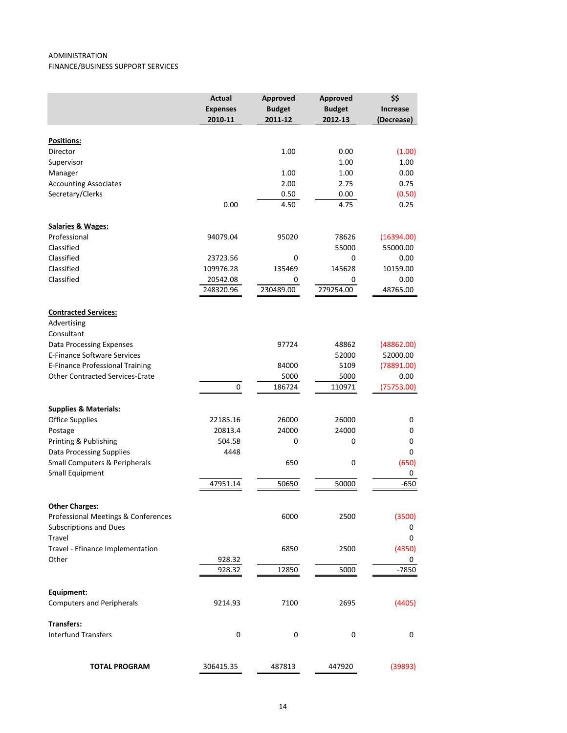#### ADMINISTRATION FINANCE/BUSINESS SUPPORT SERVICES

|                                                  | <b>Actual</b><br><b>Expenses</b><br>2010-11 | Approved<br><b>Budget</b><br>2011-12 | Approved<br><b>Budget</b><br>2012-13 | \$\$<br><b>Increase</b><br>(Decrease) |
|--------------------------------------------------|---------------------------------------------|--------------------------------------|--------------------------------------|---------------------------------------|
| Positions:                                       |                                             |                                      |                                      |                                       |
| Director                                         |                                             | 1.00                                 | 0.00                                 | (1.00)                                |
| Supervisor                                       |                                             |                                      | 1.00                                 | 1.00                                  |
| Manager                                          |                                             | 1.00                                 | 1.00                                 | 0.00                                  |
| <b>Accounting Associates</b>                     |                                             | 2.00                                 | 2.75                                 | 0.75                                  |
| Secretary/Clerks                                 |                                             | 0.50                                 | 0.00                                 | (0.50)                                |
|                                                  | 0.00                                        | 4.50                                 | 4.75                                 | 0.25                                  |
| <b>Salaries &amp; Wages:</b>                     |                                             |                                      |                                      |                                       |
| Professional                                     | 94079.04                                    | 95020                                | 78626                                | (16394.00)                            |
| Classified                                       |                                             |                                      | 55000                                | 55000.00                              |
| Classified                                       | 23723.56                                    | 0                                    | 0                                    | 0.00                                  |
| Classified                                       | 109976.28                                   | 135469                               | 145628                               | 10159.00                              |
| Classified                                       | 20542.08<br>248320.96                       | 0<br>230489.00                       | 0<br>279254.00                       | 0.00<br>48765.00                      |
| <b>Contracted Services:</b>                      |                                             |                                      |                                      |                                       |
| Advertising                                      |                                             |                                      |                                      |                                       |
| Consultant                                       |                                             |                                      |                                      |                                       |
| <b>Data Processing Expenses</b>                  |                                             | 97724                                | 48862                                | (48862.00)                            |
| <b>E-Finance Software Services</b>               |                                             |                                      | 52000                                | 52000.00                              |
| E-Finance Professional Training                  |                                             | 84000                                | 5109                                 | (78891.00)                            |
| <b>Other Contracted Services-Erate</b>           |                                             | 5000                                 | 5000                                 | 0.00                                  |
|                                                  | 0                                           | 186724                               | 110971                               | (75753.00)                            |
| <b>Supplies &amp; Materials:</b>                 |                                             |                                      |                                      |                                       |
| <b>Office Supplies</b>                           | 22185.16                                    | 26000                                | 26000                                | 0                                     |
| Postage                                          | 20813.4                                     | 24000                                | 24000                                | 0                                     |
| Printing & Publishing                            | 504.58                                      | 0                                    | 0                                    | 0                                     |
| <b>Data Processing Supplies</b>                  | 4448                                        |                                      |                                      | 0                                     |
| Small Computers & Peripherals<br>Small Equipment |                                             | 650                                  | 0                                    | (650)<br>0                            |
|                                                  | 47951.14                                    | 50650                                | 50000                                | $-650$                                |
| <b>Other Charges:</b>                            |                                             |                                      |                                      |                                       |
| Professional Meetings & Conferences              |                                             | 6000                                 | 2500                                 | (3500)                                |
| <b>Subscriptions and Dues</b>                    |                                             |                                      |                                      | 0                                     |
| Travel                                           |                                             |                                      |                                      | 0                                     |
| Travel - Efinance Implementation                 |                                             | 6850                                 | 2500                                 | (4350)                                |
| Other                                            | 928.32                                      |                                      |                                      | 0                                     |
|                                                  | 928.32                                      | 12850                                | 5000                                 | $-7850$                               |
| Equipment:                                       |                                             |                                      |                                      |                                       |
| <b>Computers and Peripherals</b>                 | 9214.93                                     | 7100                                 | 2695                                 | (4405)                                |
| <b>Transfers:</b><br><b>Interfund Transfers</b>  |                                             |                                      |                                      |                                       |
|                                                  | $\pmb{0}$                                   | $\boldsymbol{0}$                     | 0                                    | 0                                     |
| <b>TOTAL PROGRAM</b>                             | 306415.35                                   | 487813                               | 447920                               | (39893)                               |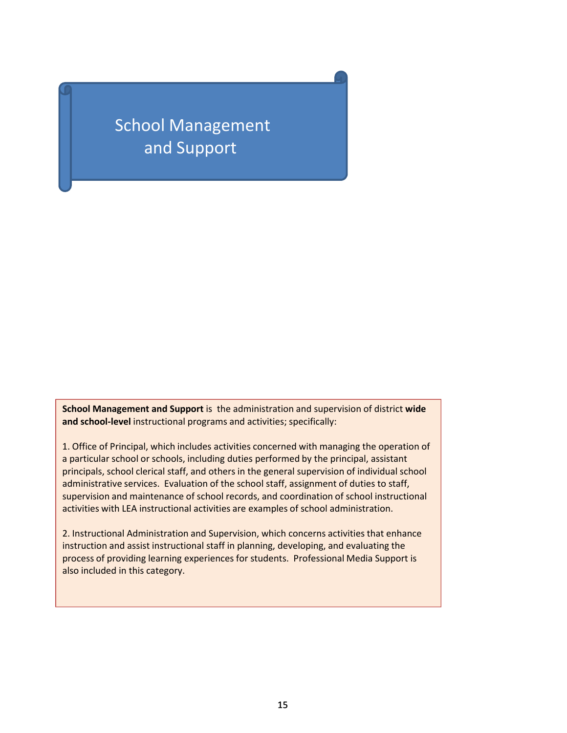School Management and Support

**School Management and Support** is the administration and supervision of district **wide and school‐level** instructional programs and activities; specifically:

1. Office of Principal, which includes activities concerned with managing the operation of a particular school or schools, including duties performed by the principal, assistant principals, school clerical staff, and others in the general supervision of individual school administrative services. Evaluation of the school staff, assignment of duties to staff, supervision and maintenance of school records, and coordination of school instructional activities with LEA instructional activities are examples of school administration.

2. Instructional Administration and Supervision, which concerns activities that enhance instruction and assist instructional staff in planning, developing, and evaluating the process of providing learning experiences for students. Professional Media Support is also included in this category.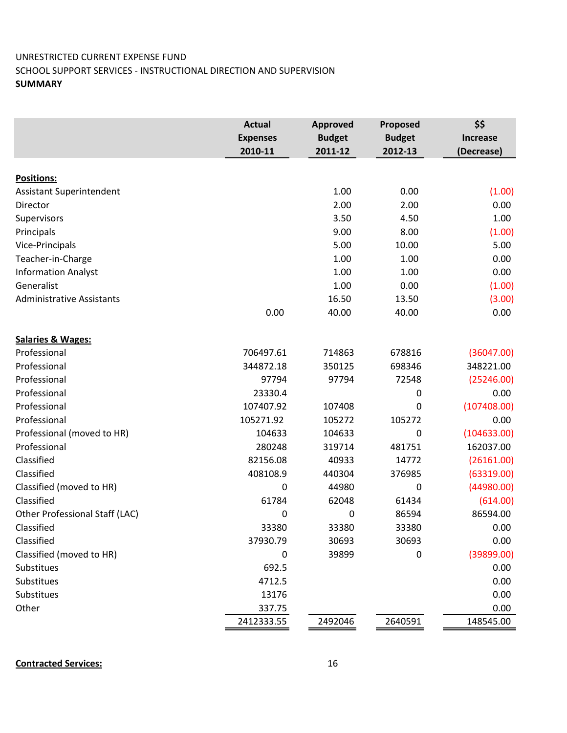## UNRESTRICTED CURRENT EXPENSE FUND SCHOOL SUPPORT SERVICES ‐ INSTRUCTIONAL DIRECTION AND SUPERVISION **SUMMARY**

|                                  | <b>Actual</b><br><b>Expenses</b> | <b>Approved</b><br><b>Budget</b> | Proposed<br><b>Budget</b> | \$\$<br><b>Increase</b> |
|----------------------------------|----------------------------------|----------------------------------|---------------------------|-------------------------|
|                                  | 2010-11                          | 2011-12                          | 2012-13                   | (Decrease)              |
|                                  |                                  |                                  |                           |                         |
| Positions:                       |                                  |                                  |                           |                         |
| <b>Assistant Superintendent</b>  |                                  | 1.00                             | 0.00                      | (1.00)                  |
| Director                         |                                  | 2.00                             | 2.00                      | 0.00                    |
| Supervisors                      |                                  | 3.50                             | 4.50                      | 1.00                    |
| Principals                       |                                  | 9.00                             | 8.00                      | (1.00)                  |
| Vice-Principals                  |                                  | 5.00                             | 10.00                     | 5.00                    |
| Teacher-in-Charge                |                                  | 1.00                             | 1.00                      | 0.00                    |
| <b>Information Analyst</b>       |                                  | 1.00                             | 1.00                      | 0.00                    |
| Generalist                       |                                  | 1.00                             | 0.00                      | (1.00)                  |
| <b>Administrative Assistants</b> |                                  | 16.50                            | 13.50                     | (3.00)                  |
|                                  | 0.00                             | 40.00                            | 40.00                     | 0.00                    |
| <b>Salaries &amp; Wages:</b>     |                                  |                                  |                           |                         |
| Professional                     | 706497.61                        | 714863                           | 678816                    | (36047.00)              |
| Professional                     | 344872.18                        | 350125                           | 698346                    | 348221.00               |
| Professional                     | 97794                            | 97794                            | 72548                     | (25246.00)              |
| Professional                     | 23330.4                          |                                  | 0                         | 0.00                    |
| Professional                     | 107407.92                        | 107408                           | 0                         | (107408.00)             |
| Professional                     | 105271.92                        | 105272                           | 105272                    | 0.00                    |
| Professional (moved to HR)       | 104633                           | 104633                           | 0                         | (104633.00)             |
| Professional                     | 280248                           | 319714                           | 481751                    | 162037.00               |
| Classified                       | 82156.08                         | 40933                            | 14772                     | (26161.00)              |
| Classified                       | 408108.9                         | 440304                           | 376985                    | (63319.00)              |
| Classified (moved to HR)         | 0                                | 44980                            | 0                         | (44980.00)              |
| Classified                       | 61784                            | 62048                            | 61434                     | (614.00)                |
| Other Professional Staff (LAC)   | 0                                | 0                                | 86594                     | 86594.00                |
| Classified                       | 33380                            | 33380                            | 33380                     | 0.00                    |
| Classified                       | 37930.79                         | 30693                            | 30693                     | 0.00                    |
| Classified (moved to HR)         | 0                                | 39899                            | 0                         | (39899.00)              |
| Substitues                       | 692.5                            |                                  |                           | 0.00                    |
| Substitues                       | 4712.5                           |                                  |                           | 0.00                    |
| Substitues                       | 13176                            |                                  |                           | 0.00                    |
| Other                            | 337.75                           |                                  |                           | 0.00                    |
|                                  | 2412333.55                       | 2492046                          | 2640591                   | 148545.00               |

**Contracted Services:** 16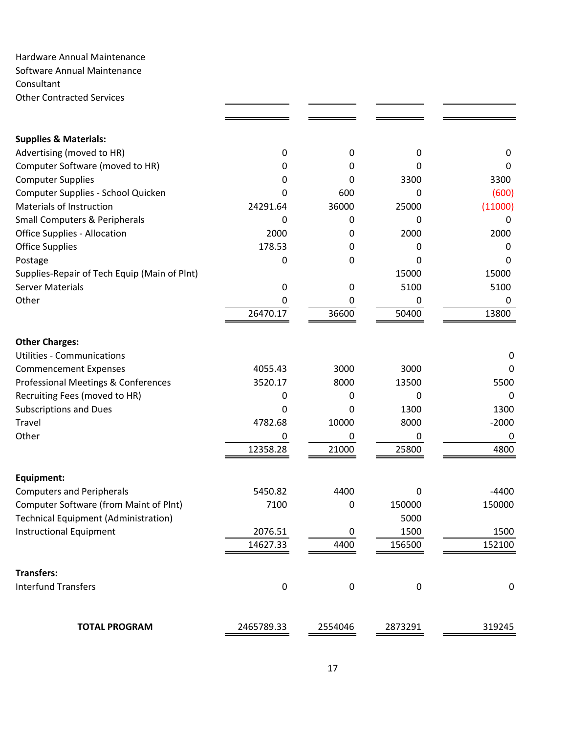Hardware Annual Maintenance Software Annual Maintenance Consultant Other Contracted Services

| <b>Supplies &amp; Materials:</b>               |            |           |           |             |
|------------------------------------------------|------------|-----------|-----------|-------------|
| Advertising (moved to HR)                      | 0          | 0         | 0         | 0           |
| Computer Software (moved to HR)                | 0          | 0         | O         | 0           |
| <b>Computer Supplies</b>                       | 0          | 0         | 3300      | 3300        |
| Computer Supplies - School Quicken             | 0          | 600       | 0         | (600)       |
| Materials of Instruction                       | 24291.64   | 36000     | 25000     | (11000)     |
| <b>Small Computers &amp; Peripherals</b>       | 0          | 0         | O         | 0           |
| <b>Office Supplies - Allocation</b>            | 2000       | 0         | 2000      | 2000        |
| <b>Office Supplies</b>                         | 178.53     | 0         | 0         | 0           |
| Postage                                        | 0          | 0         | 0         | 0           |
| Supplies-Repair of Tech Equip (Main of Plnt)   |            |           | 15000     | 15000       |
| <b>Server Materials</b>                        | 0          | 0         | 5100      | 5100        |
| Other                                          | 0          | 0         | 0         | 0           |
|                                                | 26470.17   | 36600     | 50400     | 13800       |
| <b>Other Charges:</b>                          |            |           |           |             |
| <b>Utilities - Communications</b>              |            |           |           | 0           |
| <b>Commencement Expenses</b>                   | 4055.43    | 3000      | 3000      | 0           |
| <b>Professional Meetings &amp; Conferences</b> | 3520.17    | 8000      | 13500     | 5500        |
| Recruiting Fees (moved to HR)                  | 0          | 0         | 0         | 0           |
| <b>Subscriptions and Dues</b>                  | 0          | 0         | 1300      | 1300        |
| <b>Travel</b>                                  | 4782.68    | 10000     | 8000      | $-2000$     |
| Other                                          | 0          | 0         | 0         | 0           |
|                                                | 12358.28   | 21000     | 25800     | 4800        |
|                                                |            |           |           |             |
| Equipment:                                     |            |           |           |             |
| <b>Computers and Peripherals</b>               | 5450.82    | 4400      | 0         | $-4400$     |
| <b>Computer Software (from Maint of Plnt)</b>  | 7100       | 0         | 150000    | 150000      |
| <b>Technical Equipment (Administration)</b>    |            |           | 5000      |             |
| Instructional Equipment                        | 2076.51    | 0         | 1500      | 1500        |
|                                                | 14627.33   | 4400      | 156500    | 152100      |
| <b>Transfers:</b>                              |            |           |           |             |
| <b>Interfund Transfers</b>                     | $\pmb{0}$  | $\pmb{0}$ | $\pmb{0}$ | $\mathbf 0$ |
|                                                |            |           |           |             |
| <b>TOTAL PROGRAM</b>                           | 2465789.33 | 2554046   | 2873291   | 319245      |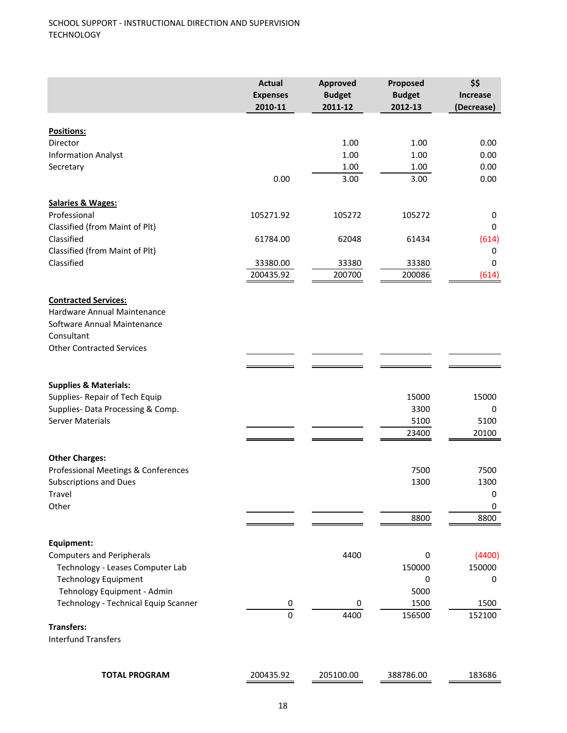|                                      | <b>Actual</b><br><b>Expenses</b><br>2010-11 | <b>Approved</b><br><b>Budget</b><br>2011-12 | Proposed<br><b>Budget</b><br>2012-13 | \$\$<br><b>Increase</b><br>(Decrease) |
|--------------------------------------|---------------------------------------------|---------------------------------------------|--------------------------------------|---------------------------------------|
|                                      |                                             |                                             |                                      |                                       |
| <b>Positions:</b><br>Director        |                                             | 1.00                                        | 1.00                                 | 0.00                                  |
| <b>Information Analyst</b>           |                                             | 1.00                                        | 1.00                                 | 0.00                                  |
| Secretary                            |                                             | 1.00                                        | 1.00                                 | 0.00                                  |
|                                      | 0.00                                        | 3.00                                        | 3.00                                 | 0.00                                  |
| <b>Salaries &amp; Wages:</b>         |                                             |                                             |                                      |                                       |
| Professional                         | 105271.92                                   | 105272                                      | 105272                               | 0                                     |
| Classified (from Maint of Plt)       |                                             |                                             |                                      | $\mathbf 0$                           |
| Classified                           | 61784.00                                    | 62048                                       | 61434                                | (614)                                 |
| Classified (from Maint of Plt)       |                                             |                                             |                                      | 0                                     |
| Classified                           | 33380.00                                    | 33380                                       | 33380                                | 0                                     |
|                                      | 200435.92                                   | 200700                                      | 200086                               | (614)                                 |
| <b>Contracted Services:</b>          |                                             |                                             |                                      |                                       |
| Hardware Annual Maintenance          |                                             |                                             |                                      |                                       |
| Software Annual Maintenance          |                                             |                                             |                                      |                                       |
| Consultant                           |                                             |                                             |                                      |                                       |
| <b>Other Contracted Services</b>     |                                             |                                             |                                      |                                       |
|                                      |                                             |                                             |                                      |                                       |
| <b>Supplies &amp; Materials:</b>     |                                             |                                             |                                      |                                       |
| Supplies-Repair of Tech Equip        |                                             |                                             | 15000                                | 15000                                 |
| Supplies- Data Processing & Comp.    |                                             |                                             | 3300                                 | 0                                     |
| <b>Server Materials</b>              |                                             |                                             | 5100                                 | 5100                                  |
|                                      |                                             |                                             | 23400                                | 20100                                 |
| <b>Other Charges:</b>                |                                             |                                             |                                      |                                       |
| Professional Meetings & Conferences  |                                             |                                             | 7500                                 | 7500                                  |
| <b>Subscriptions and Dues</b>        |                                             |                                             | 1300                                 | 1300                                  |
| Travel                               |                                             |                                             |                                      | 0                                     |
| Other                                |                                             |                                             |                                      | 0                                     |
|                                      |                                             |                                             | 8800                                 | 8800                                  |
| Equipment:                           |                                             |                                             |                                      |                                       |
| <b>Computers and Peripherals</b>     |                                             | 4400                                        | 0                                    | (4400)                                |
| Technology - Leases Computer Lab     |                                             |                                             | 150000                               | 150000                                |
| <b>Technology Equipment</b>          |                                             |                                             | 0                                    | 0                                     |
| Tehnology Equipment - Admin          |                                             |                                             | 5000                                 |                                       |
| Technology - Technical Equip Scanner | $\overline{0}$                              | 0                                           | 1500                                 | 1500                                  |
|                                      | $\overline{0}$                              | 4400                                        | 156500                               | 152100                                |
| <b>Transfers:</b>                    |                                             |                                             |                                      |                                       |
| <b>Interfund Transfers</b>           |                                             |                                             |                                      |                                       |
|                                      |                                             |                                             |                                      |                                       |
| <b>TOTAL PROGRAM</b>                 | 200435.92                                   | 205100.00                                   | 388786.00                            | 183686                                |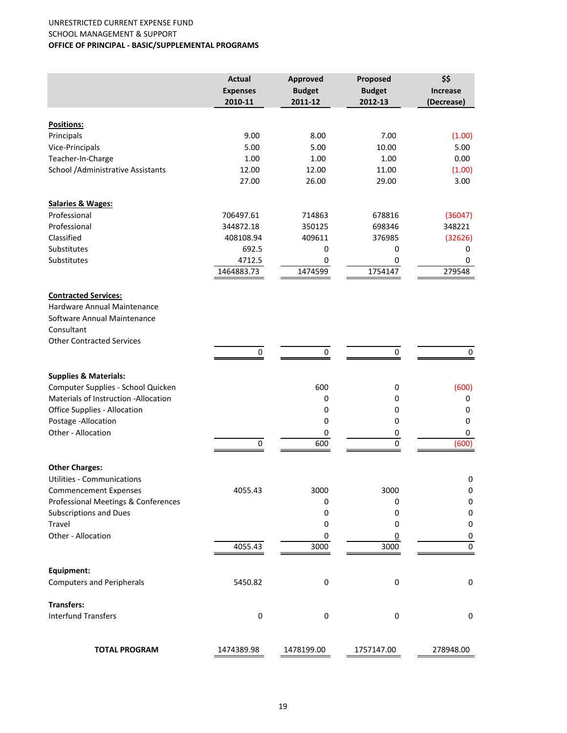#### UNRESTRICTED CURRENT EXPENSE FUND SCHOOL MANAGEMENT & SUPPORT **OFFICE OF PRINCIPAL ‐ BASIC/SUPPLEMENTAL PROGRAMS**

|                                                                                                         | <b>Actual</b><br><b>Expenses</b><br>2010-11 | Approved<br><b>Budget</b><br>2011-12 | Proposed<br><b>Budget</b><br>2012-13 | \$\$<br><b>Increase</b><br>(Decrease) |
|---------------------------------------------------------------------------------------------------------|---------------------------------------------|--------------------------------------|--------------------------------------|---------------------------------------|
|                                                                                                         |                                             |                                      |                                      |                                       |
| Positions:                                                                                              |                                             |                                      |                                      |                                       |
| Principals                                                                                              | 9.00                                        | 8.00                                 | 7.00                                 | (1.00)                                |
| Vice-Principals                                                                                         | 5.00                                        | 5.00                                 | 10.00                                | 5.00                                  |
| Teacher-In-Charge                                                                                       | 1.00                                        | 1.00                                 | 1.00                                 | 0.00                                  |
| School / Administrative Assistants                                                                      | 12.00<br>27.00                              | 12.00<br>26.00                       | 11.00<br>29.00                       | (1.00)<br>3.00                        |
| <b>Salaries &amp; Wages:</b>                                                                            |                                             |                                      |                                      |                                       |
| Professional                                                                                            | 706497.61                                   | 714863                               | 678816                               | (36047)                               |
| Professional                                                                                            | 344872.18                                   | 350125                               | 698346                               | 348221                                |
| Classified                                                                                              | 408108.94                                   | 409611                               | 376985                               | (32626)                               |
| Substitutes                                                                                             | 692.5                                       | 0                                    | 0                                    | 0                                     |
| Substitutes                                                                                             | 4712.5                                      | 0                                    | 0                                    | 0                                     |
|                                                                                                         | 1464883.73                                  | 1474599                              | 1754147                              | 279548                                |
| <b>Contracted Services:</b><br>Hardware Annual Maintenance<br>Software Annual Maintenance<br>Consultant |                                             |                                      |                                      |                                       |
| <b>Other Contracted Services</b>                                                                        |                                             |                                      |                                      |                                       |
|                                                                                                         | 0                                           | $\pmb{0}$                            | 0                                    | $\pmb{0}$                             |
| <b>Supplies &amp; Materials:</b>                                                                        |                                             |                                      |                                      |                                       |
| Computer Supplies - School Quicken                                                                      |                                             | 600                                  | 0                                    | (600)                                 |
| Materials of Instruction - Allocation                                                                   |                                             | 0                                    | 0                                    | 0                                     |
| Office Supplies - Allocation                                                                            |                                             | $\mathbf 0$                          | 0                                    | 0                                     |
| Postage - Allocation                                                                                    |                                             | $\mathbf 0$                          | 0                                    | 0                                     |
| Other - Allocation                                                                                      |                                             | 0                                    | 0                                    | $\mathbf 0$                           |
|                                                                                                         | 0                                           | 600                                  | $\pmb{0}$                            | (600)                                 |
| <b>Other Charges:</b>                                                                                   |                                             |                                      |                                      |                                       |
| <b>Utilities - Communications</b>                                                                       |                                             |                                      |                                      | 0                                     |
| <b>Commencement Expenses</b>                                                                            | 4055.43                                     | 3000                                 | 3000                                 | $\pmb{0}$                             |
| Professional Meetings & Conferences                                                                     |                                             | 0                                    | 0                                    | 0                                     |
| <b>Subscriptions and Dues</b>                                                                           |                                             | 0                                    | 0                                    | 0                                     |
| Travel                                                                                                  |                                             | 0                                    | 0                                    | 0                                     |
| Other - Allocation                                                                                      |                                             | 0                                    | $\overline{0}$                       | 0                                     |
|                                                                                                         | 4055.43                                     | 3000                                 | 3000                                 | $\pmb{0}$                             |
| Equipment:                                                                                              |                                             |                                      |                                      |                                       |
| <b>Computers and Peripherals</b>                                                                        | 5450.82                                     | $\pmb{0}$                            | $\pmb{0}$                            | $\boldsymbol{0}$                      |
| <b>Transfers:</b>                                                                                       |                                             |                                      |                                      |                                       |
| <b>Interfund Transfers</b>                                                                              | $\pmb{0}$                                   | $\pmb{0}$                            | $\pmb{0}$                            | 0                                     |
| <b>TOTAL PROGRAM</b>                                                                                    | 1474389.98                                  | 1478199.00                           | 1757147.00                           | 278948.00                             |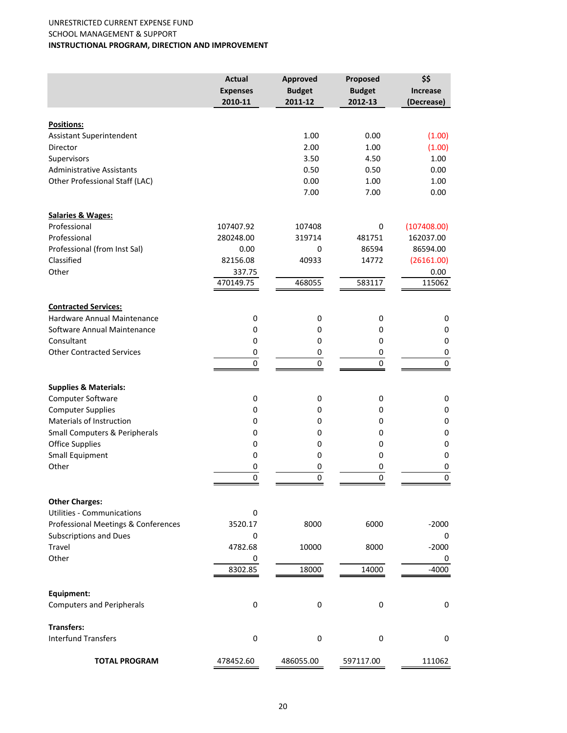#### UNRESTRICTED CURRENT EXPENSE FUND SCHOOL MANAGEMENT & SUPPORT **INSTRUCTIONAL PROGRAM, DIRECTION AND IMPROVEMENT**

|                                              | <b>Actual</b><br><b>Expenses</b><br>2010-11 | Approved<br><b>Budget</b><br>2011-12 | Proposed<br><b>Budget</b><br>2012-13 | \$\$<br><b>Increase</b><br>(Decrease) |
|----------------------------------------------|---------------------------------------------|--------------------------------------|--------------------------------------|---------------------------------------|
|                                              |                                             |                                      |                                      |                                       |
| Positions:                                   |                                             |                                      |                                      |                                       |
| Assistant Superintendent                     |                                             | 1.00                                 | 0.00                                 | (1.00)                                |
| Director                                     |                                             | 2.00                                 | 1.00                                 | (1.00)                                |
| Supervisors                                  |                                             | 3.50                                 | 4.50                                 | 1.00                                  |
| <b>Administrative Assistants</b>             |                                             | 0.50                                 | 0.50                                 | 0.00                                  |
| Other Professional Staff (LAC)               |                                             | 0.00<br>7.00                         | 1.00<br>7.00                         | 1.00<br>0.00                          |
|                                              |                                             |                                      |                                      |                                       |
| <b>Salaries &amp; Wages:</b><br>Professional | 107407.92                                   | 107408                               | 0                                    | (107408.00)                           |
| Professional                                 | 280248.00                                   | 319714                               | 481751                               | 162037.00                             |
| Professional (from Inst Sal)                 | 0.00                                        | 0                                    | 86594                                | 86594.00                              |
| Classified                                   | 82156.08                                    | 40933                                | 14772                                |                                       |
| Other                                        | 337.75                                      |                                      |                                      | (26161.00)                            |
|                                              | 470149.75                                   | 468055                               | 583117                               | 0.00<br>115062                        |
|                                              |                                             |                                      |                                      |                                       |
| <b>Contracted Services:</b>                  |                                             |                                      |                                      |                                       |
| Hardware Annual Maintenance                  | 0                                           | $\mathbf 0$                          | 0                                    | $\pmb{0}$                             |
| Software Annual Maintenance                  | 0                                           | 0                                    | 0                                    | 0                                     |
| Consultant                                   | 0                                           | 0                                    | 0                                    | $\pmb{0}$                             |
| <b>Other Contracted Services</b>             | 0                                           | 0                                    | 0                                    | $\pmb{0}$                             |
|                                              | 0                                           | 0                                    | $\pmb{0}$                            | $\pmb{0}$                             |
| <b>Supplies &amp; Materials:</b>             |                                             |                                      |                                      |                                       |
| Computer Software                            | 0                                           | $\pmb{0}$                            | 0                                    | $\pmb{0}$                             |
| <b>Computer Supplies</b>                     | 0                                           | 0                                    | 0                                    | $\pmb{0}$                             |
| <b>Materials of Instruction</b>              | 0                                           | 0                                    | 0                                    | $\pmb{0}$                             |
| Small Computers & Peripherals                | 0                                           | 0                                    | 0                                    | $\pmb{0}$                             |
| <b>Office Supplies</b>                       | 0                                           | 0                                    | 0                                    | $\pmb{0}$                             |
| <b>Small Equipment</b>                       | 0                                           | 0                                    | 0                                    | $\pmb{0}$                             |
| Other                                        | 0                                           | 0                                    | 0                                    | 0                                     |
|                                              | 0                                           | 0                                    | $\pmb{0}$                            | $\pmb{0}$                             |
| <b>Other Charges:</b>                        |                                             |                                      |                                      |                                       |
| <b>Utilities - Communications</b>            | 0                                           |                                      |                                      |                                       |
| Professional Meetings & Conferences          | 3520.17                                     | 8000                                 | 6000                                 | -2000                                 |
| <b>Subscriptions and Dues</b>                | 0                                           |                                      |                                      | 0                                     |
| Travel                                       | 4782.68                                     | 10000                                | 8000                                 | $-2000$                               |
| Other                                        | 0                                           |                                      |                                      | 0                                     |
|                                              | 8302.85                                     | 18000                                | 14000                                | $-4000$                               |
| Equipment:                                   |                                             |                                      |                                      |                                       |
| <b>Computers and Peripherals</b>             | $\pmb{0}$                                   | 0                                    | 0                                    | 0                                     |
| <b>Transfers:</b>                            |                                             |                                      |                                      |                                       |
| <b>Interfund Transfers</b>                   | $\pmb{0}$                                   | $\pmb{0}$                            | 0                                    | $\mathbf 0$                           |
| <b>TOTAL PROGRAM</b>                         | 478452.60                                   | 486055.00                            | 597117.00                            | 111062                                |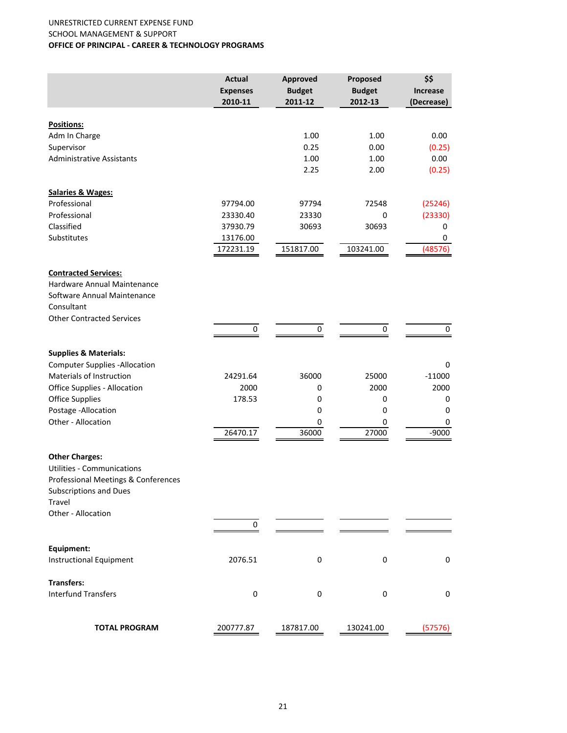#### UNRESTRICTED CURRENT EXPENSE FUND SCHOOL MANAGEMENT & SUPPORT **OFFICE OF PRINCIPAL ‐ CAREER & TECHNOLOGY PROGRAMS**

|                                                                                                         | <b>Actual</b><br><b>Expenses</b><br>2010-11 | Approved<br><b>Budget</b><br>2011-12 | Proposed<br><b>Budget</b><br>2012-13 | \$\$<br><b>Increase</b><br>(Decrease) |
|---------------------------------------------------------------------------------------------------------|---------------------------------------------|--------------------------------------|--------------------------------------|---------------------------------------|
| <b>Positions:</b>                                                                                       |                                             |                                      |                                      |                                       |
| Adm In Charge                                                                                           |                                             | 1.00                                 | 1.00                                 | 0.00                                  |
| Supervisor                                                                                              |                                             | 0.25                                 | 0.00                                 | (0.25)                                |
| <b>Administrative Assistants</b>                                                                        |                                             | 1.00                                 | 1.00                                 | 0.00                                  |
|                                                                                                         |                                             | 2.25                                 | 2.00                                 | (0.25)                                |
| Salaries & Wages:                                                                                       |                                             |                                      |                                      |                                       |
| Professional                                                                                            | 97794.00                                    | 97794                                | 72548                                | (25246)                               |
| Professional                                                                                            | 23330.40                                    | 23330                                | 0                                    | (23330)                               |
| Classified                                                                                              | 37930.79                                    | 30693                                | 30693                                | 0                                     |
| Substitutes                                                                                             | 13176.00                                    |                                      |                                      | 0                                     |
|                                                                                                         | 172231.19                                   | 151817.00                            | 103241.00                            | (48576)                               |
| <b>Contracted Services:</b><br>Hardware Annual Maintenance<br>Software Annual Maintenance<br>Consultant |                                             |                                      |                                      |                                       |
| <b>Other Contracted Services</b>                                                                        |                                             |                                      |                                      |                                       |
|                                                                                                         | 0                                           | $\pmb{0}$                            | 0                                    | $\pmb{0}$                             |
| <b>Supplies &amp; Materials:</b>                                                                        |                                             |                                      |                                      |                                       |
| <b>Computer Supplies -Allocation</b>                                                                    |                                             |                                      |                                      | 0                                     |
| <b>Materials of Instruction</b>                                                                         | 24291.64                                    | 36000                                | 25000                                | $-11000$                              |
| Office Supplies - Allocation                                                                            | 2000                                        | 0                                    | 2000                                 | 2000                                  |
| <b>Office Supplies</b>                                                                                  | 178.53                                      | 0                                    | 0                                    | 0                                     |
| Postage - Allocation                                                                                    |                                             | 0                                    | 0                                    | 0                                     |
| Other - Allocation                                                                                      |                                             | 0                                    | 0                                    | 0                                     |
|                                                                                                         | 26470.17                                    | 36000                                | 27000                                | $-9000$                               |
| <b>Other Charges:</b>                                                                                   |                                             |                                      |                                      |                                       |
| <b>Utilities - Communications</b>                                                                       |                                             |                                      |                                      |                                       |
| Professional Meetings & Conferences                                                                     |                                             |                                      |                                      |                                       |
| <b>Subscriptions and Dues</b>                                                                           |                                             |                                      |                                      |                                       |
| Travel                                                                                                  |                                             |                                      |                                      |                                       |
| Other - Allocation                                                                                      |                                             |                                      |                                      |                                       |
|                                                                                                         | 0                                           |                                      |                                      |                                       |
| Equipment:                                                                                              |                                             |                                      |                                      |                                       |
| <b>Instructional Equipment</b>                                                                          | 2076.51                                     | 0                                    | $\pmb{0}$                            | $\pmb{0}$                             |
| <b>Transfers:</b>                                                                                       |                                             |                                      |                                      |                                       |
| <b>Interfund Transfers</b>                                                                              | $\pmb{0}$                                   | 0                                    | 0                                    | 0                                     |
| <b>TOTAL PROGRAM</b>                                                                                    | 200777.87                                   | 187817.00                            | 130241.00                            | (57576)                               |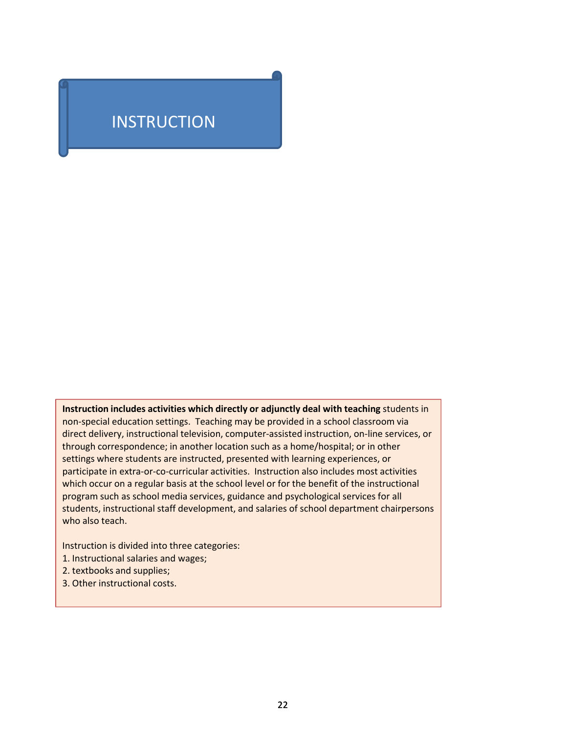# **INSTRUCTION**

**Instruction includes activities which directly or adjunctly deal with teaching** students in non‐special education settings. Teaching may be provided in a school classroom via direct delivery, instructional television, computer‐assisted instruction, on‐line services, or through correspondence; in another location such as a home/hospital; or in other settings where students are instructed, presented with learning experiences, or participate in extra‐or‐co‐curricular activities. Instruction also includes most activities which occur on a regular basis at the school level or for the benefit of the instructional program such as school media services, guidance and psychological services for all students, instructional staff development, and salaries of school department chairpersons who also teach.

Instruction is divided into three categories:

- 1. Instructional salaries and wages;
- 2. textbooks and supplies;
- 3. Other instructional costs.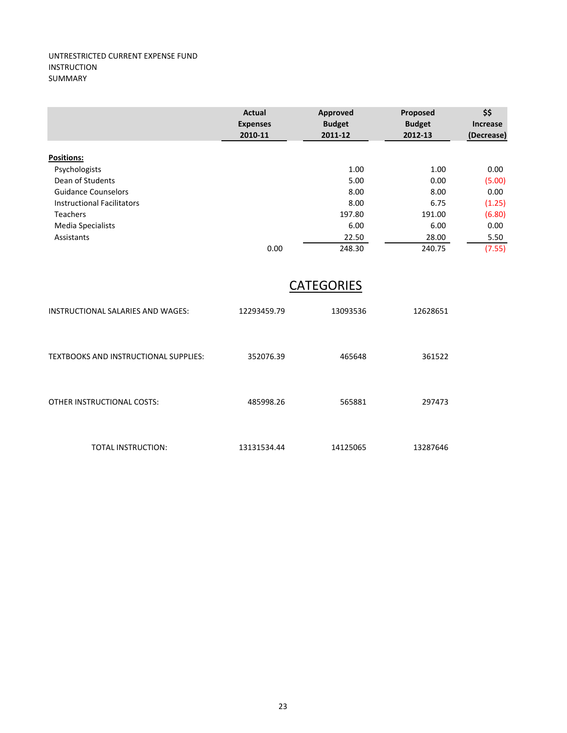|                                              | Actual<br><b>Expenses</b><br>2010-11 | Approved<br><b>Budget</b><br>2011-12 | Proposed<br><b>Budget</b><br>2012-13 | \$\$<br>Increase<br>(Decrease) |
|----------------------------------------------|--------------------------------------|--------------------------------------|--------------------------------------|--------------------------------|
| <b>Positions:</b>                            |                                      |                                      |                                      |                                |
| Psychologists                                |                                      | 1.00                                 | 1.00                                 | 0.00                           |
| Dean of Students                             |                                      | 5.00                                 | 0.00                                 | (5.00)                         |
| <b>Guidance Counselors</b>                   |                                      | 8.00                                 | 8.00                                 | 0.00                           |
| <b>Instructional Facilitators</b>            |                                      | 8.00                                 | 6.75                                 | (1.25)                         |
| <b>Teachers</b>                              |                                      | 197.80                               | 191.00                               | (6.80)                         |
| Media Specialists                            |                                      | 6.00                                 | 6.00                                 | 0.00                           |
| Assistants                                   |                                      | 22.50                                | 28.00                                | 5.50                           |
|                                              | 0.00                                 | 248.30                               | 240.75                               | (7.55)                         |
|                                              |                                      | <b>CATEGORIES</b>                    |                                      |                                |
| INSTRUCTIONAL SALARIES AND WAGES:            | 12293459.79                          | 13093536                             | 12628651                             |                                |
| <b>TEXTBOOKS AND INSTRUCTIONAL SUPPLIES:</b> | 352076.39                            | 465648                               | 361522                               |                                |

| OTHER INSTRUCTIONAL COSTS: | 485998.26 | 565881 | 297473 |
|----------------------------|-----------|--------|--------|
|                            |           |        |        |
|                            |           |        |        |

TOTAL INSTRUCTION: 13131534.44 14125065 13287646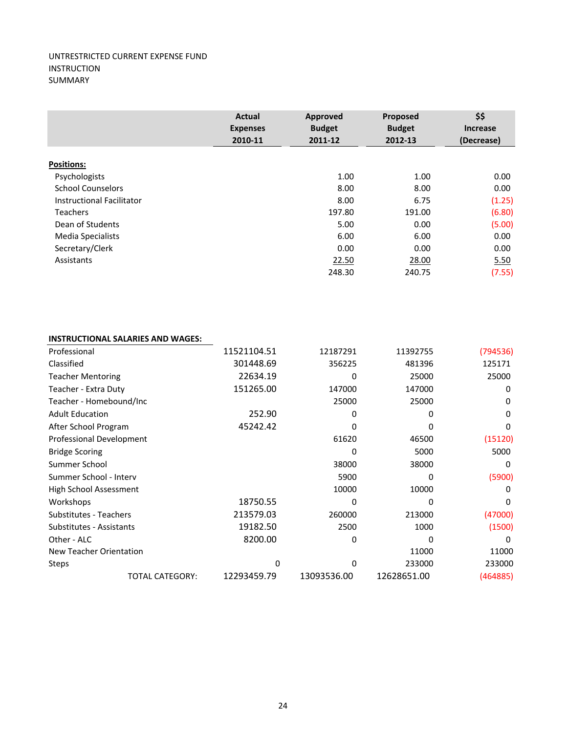|                           | <b>Actual</b><br><b>Expenses</b><br>2010-11 | Approved<br><b>Budget</b><br>2011-12 | Proposed<br><b>Budget</b><br>2012-13 | \$\$<br><b>Increase</b><br>(Decrease) |
|---------------------------|---------------------------------------------|--------------------------------------|--------------------------------------|---------------------------------------|
| Positions:                |                                             |                                      |                                      |                                       |
| Psychologists             |                                             | 1.00                                 | 1.00                                 | 0.00                                  |
| <b>School Counselors</b>  |                                             | 8.00                                 | 8.00                                 | 0.00                                  |
| Instructional Facilitator |                                             | 8.00                                 | 6.75                                 | (1.25)                                |
| <b>Teachers</b>           |                                             | 197.80                               | 191.00                               | (6.80)                                |
| Dean of Students          |                                             | 5.00                                 | 0.00                                 | (5.00)                                |
| Media Specialists         |                                             | 6.00                                 | 6.00                                 | 0.00                                  |
| Secretary/Clerk           |                                             | 0.00                                 | 0.00                                 | 0.00                                  |
| Assistants                |                                             | 22.50                                | 28.00                                | 5.50                                  |
|                           |                                             | 248.30                               | 240.75                               | (7.55)                                |

## **INSTRUCTIONAL SALARIES AND WAGES:**

| Professional                  |                        | 11521104.51 | 12187291    | 11392755    | (794536) |
|-------------------------------|------------------------|-------------|-------------|-------------|----------|
| Classified                    |                        | 301448.69   | 356225      | 481396      | 125171   |
| <b>Teacher Mentoring</b>      |                        | 22634.19    | 0           | 25000       | 25000    |
| Teacher - Extra Duty          |                        | 151265.00   | 147000      | 147000      | 0        |
| Teacher - Homebound/Inc       |                        |             | 25000       | 25000       | 0        |
| <b>Adult Education</b>        |                        | 252.90      | 0           | 0           | 0        |
| After School Program          |                        | 45242.42    |             | 0           | 0        |
| Professional Development      |                        |             | 61620       | 46500       | (15120)  |
| <b>Bridge Scoring</b>         |                        |             | 0           | 5000        | 5000     |
| Summer School                 |                        |             | 38000       | 38000       | 0        |
| Summer School - Interv        |                        |             | 5900        | 0           | (5900)   |
| High School Assessment        |                        |             | 10000       | 10000       | 0        |
| Workshops                     |                        | 18750.55    | 0           | 0           | 0        |
| <b>Substitutes - Teachers</b> |                        | 213579.03   | 260000      | 213000      | (47000)  |
| Substitutes - Assistants      |                        | 19182.50    | 2500        | 1000        | (1500)   |
| Other - ALC                   |                        | 8200.00     | 0           | 0           | 0        |
| New Teacher Orientation       |                        |             |             | 11000       | 11000    |
| Steps                         |                        | 0           | 0           | 233000      | 233000   |
|                               | <b>TOTAL CATEGORY:</b> | 12293459.79 | 13093536.00 | 12628651.00 | (464885) |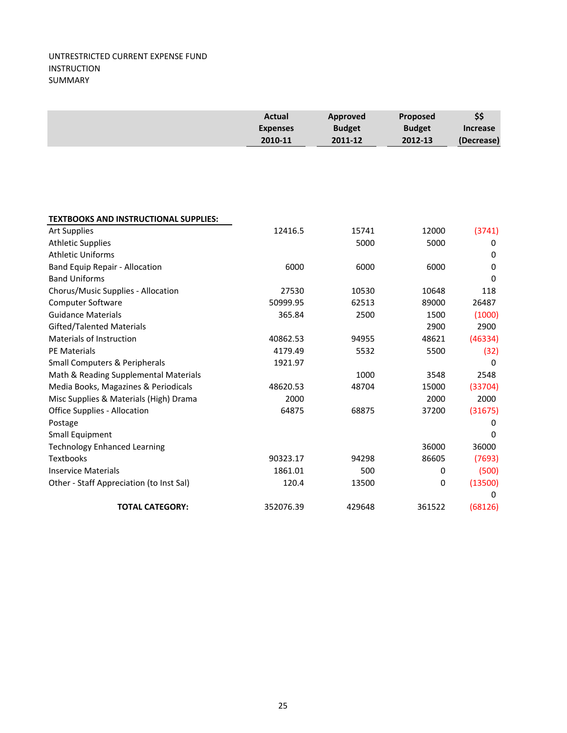|                                              | <b>Actual</b><br><b>Expenses</b><br>2010-11 | Approved<br><b>Budget</b><br>2011-12 | Proposed<br><b>Budget</b><br>2012-13 | \$\$<br><b>Increase</b><br>(Decrease) |
|----------------------------------------------|---------------------------------------------|--------------------------------------|--------------------------------------|---------------------------------------|
|                                              |                                             |                                      |                                      |                                       |
|                                              |                                             |                                      |                                      |                                       |
|                                              |                                             |                                      |                                      |                                       |
| <b>TEXTBOOKS AND INSTRUCTIONAL SUPPLIES:</b> |                                             |                                      |                                      |                                       |
| <b>Art Supplies</b>                          | 12416.5                                     | 15741                                | 12000                                | (3741)                                |
| <b>Athletic Supplies</b>                     |                                             | 5000                                 | 5000                                 | 0                                     |
| <b>Athletic Uniforms</b>                     |                                             |                                      |                                      | $\mathbf 0$                           |
| Band Equip Repair - Allocation               | 6000                                        | 6000                                 | 6000                                 | 0                                     |
| <b>Band Uniforms</b>                         |                                             |                                      |                                      | $\Omega$                              |
| Chorus/Music Supplies - Allocation           | 27530                                       | 10530                                | 10648                                | 118                                   |
| <b>Computer Software</b>                     | 50999.95                                    | 62513                                | 89000                                | 26487                                 |
| <b>Guidance Materials</b>                    | 365.84                                      | 2500                                 | 1500                                 | (1000)                                |
| Gifted/Talented Materials                    |                                             |                                      | 2900                                 | 2900                                  |
| Materials of Instruction                     | 40862.53                                    | 94955                                | 48621                                | (46334)                               |
| <b>PE Materials</b>                          | 4179.49                                     | 5532                                 | 5500                                 | (32)                                  |
| <b>Small Computers &amp; Peripherals</b>     | 1921.97                                     |                                      |                                      | 0                                     |
| Math & Reading Supplemental Materials        |                                             | 1000                                 | 3548                                 | 2548                                  |
| Media Books, Magazines & Periodicals         | 48620.53                                    | 48704                                | 15000                                | (33704)                               |
| Misc Supplies & Materials (High) Drama       | 2000                                        |                                      | 2000                                 | 2000                                  |
| <b>Office Supplies - Allocation</b>          | 64875                                       | 68875                                | 37200                                | (31675)                               |
| Postage                                      |                                             |                                      |                                      | 0                                     |
| <b>Small Equipment</b>                       |                                             |                                      |                                      | $\Omega$                              |
| <b>Technology Enhanced Learning</b>          |                                             |                                      | 36000                                | 36000                                 |
| <b>Textbooks</b>                             | 90323.17                                    | 94298                                | 86605                                | (7693)                                |
| <b>Inservice Materials</b>                   | 1861.01                                     | 500                                  | 0                                    | (500)                                 |
| Other - Staff Appreciation (to Inst Sal)     | 120.4                                       | 13500                                | 0                                    | (13500)                               |
|                                              |                                             |                                      |                                      | 0                                     |
| <b>TOTAL CATEGORY:</b>                       | 352076.39                                   | 429648                               | 361522                               | (68126)                               |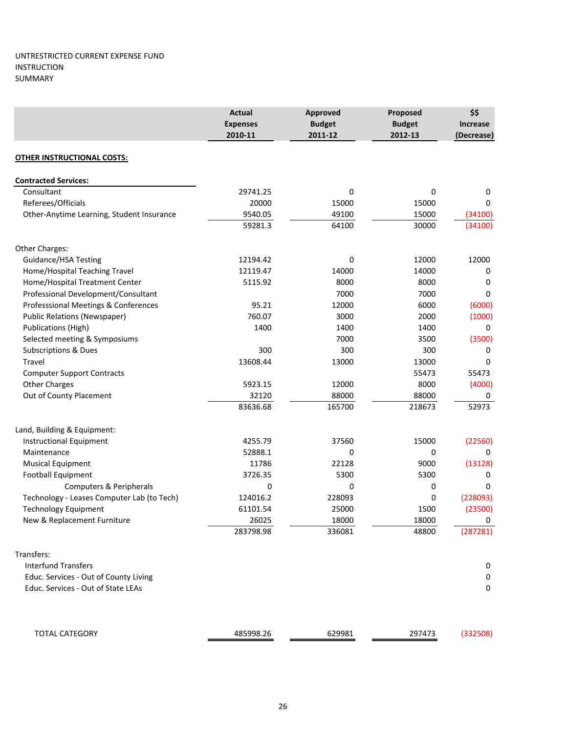|                                                                  | <b>Actual</b><br><b>Expenses</b><br>2010-11 | Approved<br><b>Budget</b><br>2011-12 | Proposed<br><b>Budget</b><br>2012-13 | \$\$<br><b>Increase</b><br>(Decrease) |
|------------------------------------------------------------------|---------------------------------------------|--------------------------------------|--------------------------------------|---------------------------------------|
| <b>OTHER INSTRUCTIONAL COSTS:</b>                                |                                             |                                      |                                      |                                       |
| <b>Contracted Services:</b>                                      |                                             |                                      |                                      |                                       |
| Consultant                                                       | 29741.25                                    | 0                                    | 0                                    | 0                                     |
| Referees/Officials                                               | 20000                                       | 15000                                | 15000                                | 0                                     |
| Other-Anytime Learning, Student Insurance                        | 9540.05                                     | 49100                                | 15000                                | (34100)                               |
|                                                                  | 59281.3                                     | 64100                                | 30000                                | (34100)                               |
| Other Charges:                                                   |                                             |                                      |                                      |                                       |
| Guidance/HSA Testing                                             | 12194.42                                    | 0                                    | 12000                                | 12000                                 |
| Home/Hospital Teaching Travel                                    | 12119.47                                    | 14000                                | 14000                                | 0                                     |
| Home/Hospital Treatment Center                                   | 5115.92                                     | 8000                                 | 8000                                 | 0                                     |
| Professional Development/Consultant                              |                                             | 7000                                 | 7000                                 | 0                                     |
| Professsional Meetings & Conferences                             | 95.21                                       | 12000                                | 6000                                 | (6000)                                |
| <b>Public Relations (Newspaper)</b>                              | 760.07                                      | 3000                                 | 2000                                 | (1000)                                |
| <b>Publications (High)</b>                                       | 1400                                        | 1400                                 | 1400                                 | 0                                     |
| Selected meeting & Symposiums<br><b>Subscriptions &amp; Dues</b> | 300                                         | 7000<br>300                          | 3500<br>300                          | (3500)<br>0                           |
| Travel                                                           | 13608.44                                    | 13000                                | 13000                                | 0                                     |
| <b>Computer Support Contracts</b>                                |                                             |                                      | 55473                                | 55473                                 |
| <b>Other Charges</b>                                             | 5923.15                                     | 12000                                | 8000                                 | (4000)                                |
| Out of County Placement                                          | 32120                                       | 88000                                | 88000                                | 0                                     |
|                                                                  | 83636.68                                    | 165700                               | 218673                               | 52973                                 |
| Land, Building & Equipment:                                      |                                             |                                      |                                      |                                       |
| <b>Instructional Equipment</b>                                   | 4255.79                                     | 37560                                | 15000                                | (22560)                               |
| Maintenance                                                      | 52888.1                                     | 0                                    | 0                                    | 0                                     |
| <b>Musical Equipment</b>                                         | 11786                                       | 22128                                | 9000                                 | (13128)                               |
| Football Equipment                                               | 3726.35                                     | 5300                                 | 5300                                 | 0                                     |
| Computers & Peripherals                                          | 0                                           | 0                                    | 0                                    | $\Omega$                              |
| Technology - Leases Computer Lab (to Tech)                       | 124016.2                                    | 228093                               | 0                                    | (228093)                              |
| <b>Technology Equipment</b>                                      | 61101.54                                    | 25000                                | 1500                                 | (23500)                               |
| New & Replacement Furniture                                      | 26025<br>283798.98                          | 18000<br>336081                      | 18000<br>48800                       | 0<br>(287281)                         |
|                                                                  |                                             |                                      |                                      |                                       |
| Transfers:                                                       |                                             |                                      |                                      |                                       |
| <b>Interfund Transfers</b>                                       |                                             |                                      |                                      | 0                                     |
| Educ. Services - Out of County Living                            |                                             |                                      |                                      | 0                                     |
| Educ. Services - Out of State LEAs                               |                                             |                                      |                                      | 0                                     |
| <b>TOTAL CATEGORY</b>                                            | 485998.26                                   | 629981                               | 297473                               | (332508)                              |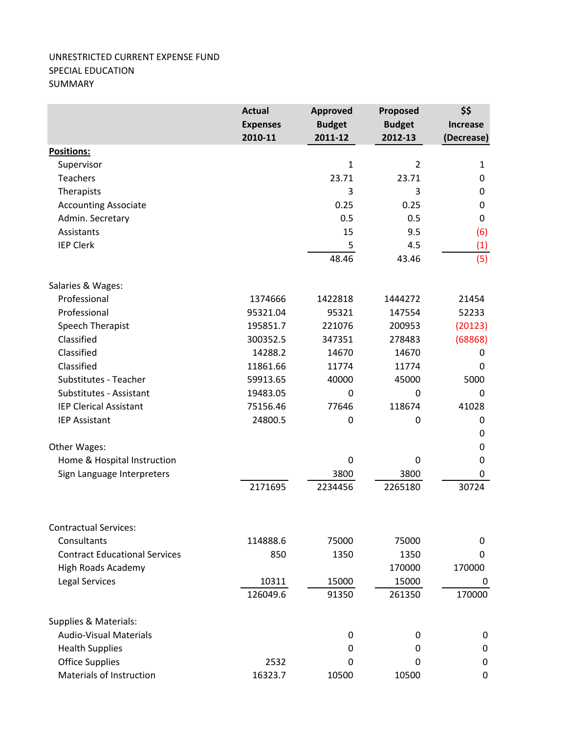## UNRESTRICTED CURRENT EXPENSE FUND SPECIAL EDUCATION SUMMARY

|                                      | <b>Actual</b>   | <b>Approved</b> | Proposed       | \$\$<br><b>Increase</b> |
|--------------------------------------|-----------------|-----------------|----------------|-------------------------|
|                                      | <b>Expenses</b> | <b>Budget</b>   | <b>Budget</b>  |                         |
|                                      | 2010-11         | 2011-12         | 2012-13        | (Decrease)              |
| Positions:                           |                 |                 |                |                         |
| Supervisor                           |                 | $\mathbf{1}$    | $\overline{2}$ | $\mathbf{1}$            |
| <b>Teachers</b>                      |                 | 23.71           | 23.71          | 0                       |
| Therapists                           |                 | 3               | 3              | 0                       |
| <b>Accounting Associate</b>          |                 | 0.25            | 0.25           | $\pmb{0}$               |
| Admin. Secretary                     |                 | 0.5             | 0.5            | 0                       |
| Assistants                           |                 | 15              | 9.5            | (6)                     |
| <b>IEP Clerk</b>                     |                 | 5               | 4.5            | (1)                     |
|                                      |                 | 48.46           | 43.46          | (5)                     |
| Salaries & Wages:                    |                 |                 |                |                         |
| Professional                         | 1374666         | 1422818         | 1444272        | 21454                   |
| Professional                         | 95321.04        | 95321           | 147554         | 52233                   |
| Speech Therapist                     | 195851.7        | 221076          | 200953         | (20123)                 |
| Classified                           | 300352.5        | 347351          | 278483         | (68868)                 |
| Classified                           | 14288.2         | 14670           | 14670          | 0                       |
| Classified                           | 11861.66        | 11774           | 11774          | 0                       |
| Substitutes - Teacher                | 59913.65        | 40000           | 45000          | 5000                    |
| Substitutes - Assistant              | 19483.05        | 0               | 0              | 0                       |
| <b>IEP Clerical Assistant</b>        | 75156.46        | 77646           | 118674         | 41028                   |
| <b>IEP Assistant</b>                 | 24800.5         | 0               | 0              | 0                       |
|                                      |                 |                 |                | 0                       |
| Other Wages:                         |                 |                 |                | 0                       |
| Home & Hospital Instruction          |                 | 0               | 0              | 0                       |
| Sign Language Interpreters           |                 | 3800            | 3800           | 0                       |
|                                      | 2171695         | 2234456         | 2265180        | 30724                   |
| <b>Contractual Services:</b>         |                 |                 |                |                         |
| Consultants                          | 114888.6        | 75000           | 75000          | 0                       |
| <b>Contract Educational Services</b> | 850             | 1350            | 1350           | 0                       |
| High Roads Academy                   |                 |                 | 170000         | 170000                  |
| Legal Services                       | 10311           | 15000           | 15000          | 0                       |
|                                      | 126049.6        | 91350           | 261350         | 170000                  |
| Supplies & Materials:                |                 |                 |                |                         |
| <b>Audio-Visual Materials</b>        |                 | 0               | 0              | 0                       |
| <b>Health Supplies</b>               |                 | 0               | 0              | 0                       |
| <b>Office Supplies</b>               | 2532            | 0               | 0              | 0                       |
| Materials of Instruction             | 16323.7         | 10500           | 10500          | $\mathbf 0$             |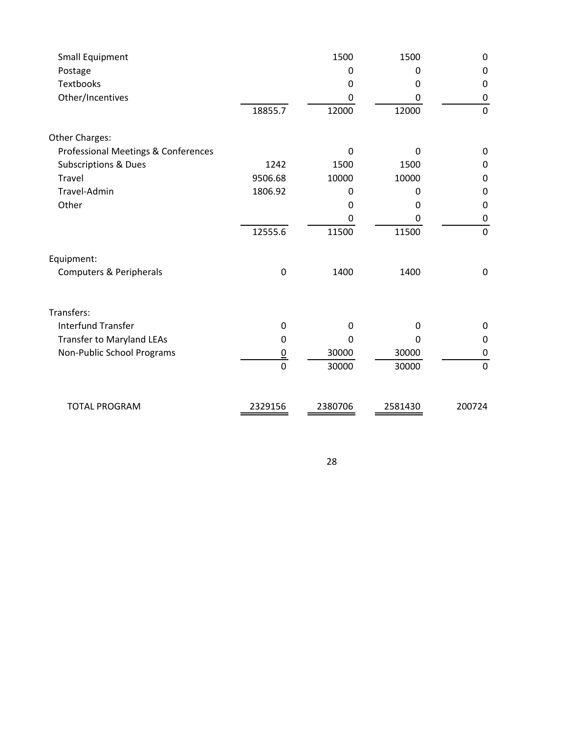|                | 1500                     | 1500              | $\mathbf 0$      |
|----------------|--------------------------|-------------------|------------------|
|                | 0                        | 0                 | $\mathbf 0$      |
|                | 0                        | 0                 | $\mathbf 0$      |
|                | 0                        | 0                 | $\boldsymbol{0}$ |
| 18855.7        | 12000                    | 12000             | $\mathbf 0$      |
|                |                          |                   |                  |
|                | $\Omega$                 | 0                 | $\pmb{0}$        |
| 1242           | 1500                     | 1500              | $\mathbf 0$      |
| 9506.68        | 10000                    | 10000             | $\mathbf 0$      |
| 1806.92        | 0                        | 0                 | $\boldsymbol{0}$ |
|                | 0                        | 0                 | $\mathbf 0$      |
|                | 0                        | 0                 | $\mathbf 0$      |
| 12555.6        | 11500                    | 11500             | $\pmb{0}$        |
|                |                          |                   |                  |
| 0              | 1400                     | 1400              | $\boldsymbol{0}$ |
|                |                          |                   |                  |
|                |                          |                   | 0                |
|                | O                        | 0                 | $\boldsymbol{0}$ |
|                |                          |                   | $\mathbf 0$      |
| $\overline{0}$ | 30000                    | 30000             | $\mathbf 0$      |
| 2329156        | 2380706                  | 2581430           | 200724           |
|                | 0<br>0<br>$\overline{0}$ | $\Omega$<br>30000 | 0<br>30000       |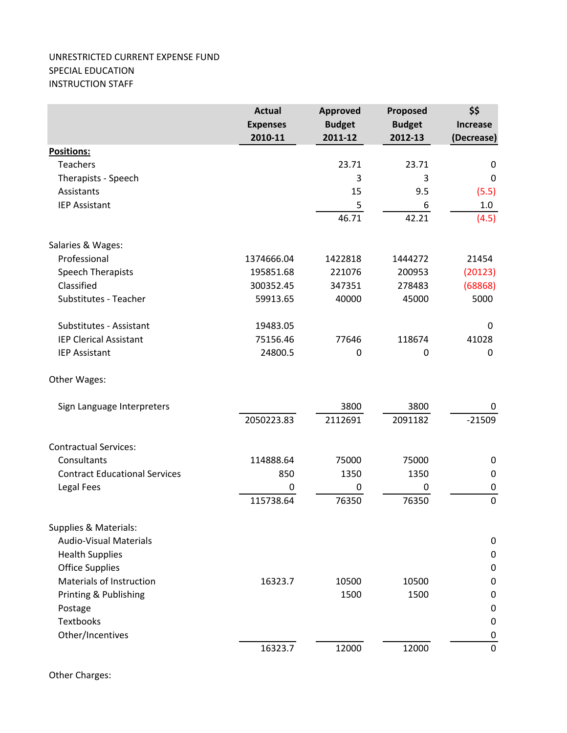## UNRESTRICTED CURRENT EXPENSE FUND SPECIAL EDUCATION INSTRUCTION STAFF

|                                      | <b>Actual</b><br><b>Expenses</b><br>2010-11 | <b>Approved</b><br><b>Budget</b><br>2011-12 | Proposed<br><b>Budget</b><br>2012-13 | \$\$<br><b>Increase</b><br>(Decrease) |
|--------------------------------------|---------------------------------------------|---------------------------------------------|--------------------------------------|---------------------------------------|
| <b>Positions:</b>                    |                                             |                                             |                                      |                                       |
| <b>Teachers</b>                      |                                             | 23.71                                       | 23.71                                | $\pmb{0}$                             |
| Therapists - Speech                  |                                             | 3                                           | 3                                    | 0                                     |
| Assistants                           |                                             | 15                                          | 9.5                                  | (5.5)                                 |
| <b>IEP Assistant</b>                 |                                             | 5                                           | 6                                    | 1.0                                   |
|                                      |                                             | 46.71                                       | 42.21                                | (4.5)                                 |
| Salaries & Wages:                    |                                             |                                             |                                      |                                       |
| Professional                         | 1374666.04                                  | 1422818                                     | 1444272                              | 21454                                 |
| <b>Speech Therapists</b>             | 195851.68                                   | 221076                                      | 200953                               | (20123)                               |
| Classified                           | 300352.45                                   | 347351                                      | 278483                               | (68868)                               |
| Substitutes - Teacher                | 59913.65                                    | 40000                                       | 45000                                | 5000                                  |
| Substitutes - Assistant              | 19483.05                                    |                                             |                                      | $\pmb{0}$                             |
| <b>IEP Clerical Assistant</b>        | 75156.46                                    | 77646                                       | 118674                               | 41028                                 |
| <b>IEP Assistant</b>                 | 24800.5                                     | 0                                           | 0                                    | 0                                     |
| Other Wages:                         |                                             |                                             |                                      |                                       |
| Sign Language Interpreters           |                                             | 3800                                        | 3800                                 | 0                                     |
|                                      | 2050223.83                                  | 2112691                                     | 2091182                              | $-21509$                              |
| <b>Contractual Services:</b>         |                                             |                                             |                                      |                                       |
| Consultants                          | 114888.64                                   | 75000                                       | 75000                                | $\pmb{0}$                             |
| <b>Contract Educational Services</b> | 850                                         | 1350                                        | 1350                                 | $\pmb{0}$                             |
| <b>Legal Fees</b>                    | 0                                           | 0                                           | $\mathbf 0$                          | $\pmb{0}$                             |
|                                      | 115738.64                                   | 76350                                       | 76350                                | $\mathbf 0$                           |
| Supplies & Materials:                |                                             |                                             |                                      |                                       |
| <b>Audio-Visual Materials</b>        |                                             |                                             |                                      | $\pmb{0}$                             |
| <b>Health Supplies</b>               |                                             |                                             |                                      | $\pmb{0}$                             |
| <b>Office Supplies</b>               |                                             |                                             |                                      | $\boldsymbol{0}$                      |
| Materials of Instruction             | 16323.7                                     | 10500                                       | 10500                                | $\pmb{0}$                             |
| Printing & Publishing                |                                             | 1500                                        | 1500                                 | $\pmb{0}$                             |
| Postage                              |                                             |                                             |                                      | $\pmb{0}$                             |
| <b>Textbooks</b>                     |                                             |                                             |                                      | $\mathbf 0$                           |
| Other/Incentives                     |                                             |                                             |                                      | $\pmb{0}$                             |
|                                      | 16323.7                                     | 12000                                       | 12000                                | $\mathbf 0$                           |

Other Charges: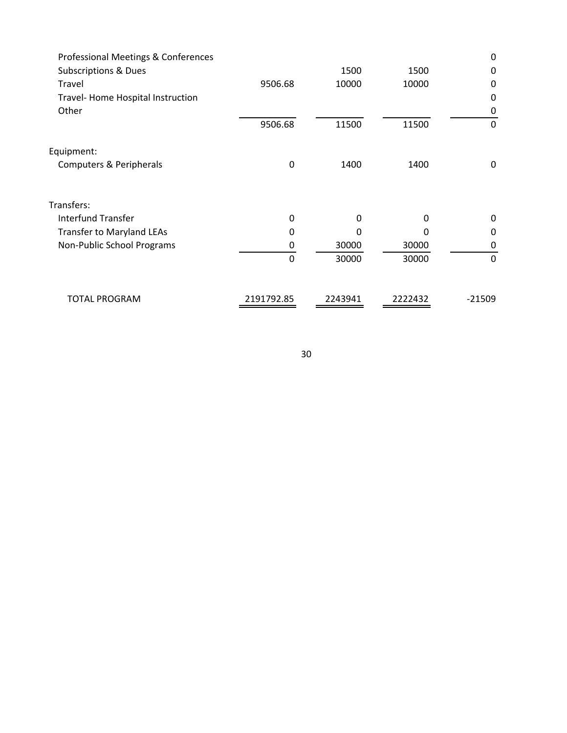| Professional Meetings & Conferences |              |         |         | 0            |
|-------------------------------------|--------------|---------|---------|--------------|
| <b>Subscriptions &amp; Dues</b>     |              | 1500    | 1500    | 0            |
| Travel                              | 9506.68      | 10000   | 10000   | 0            |
| Travel- Home Hospital Instruction   |              |         |         | 0            |
| Other                               |              |         |         | 0            |
|                                     | 9506.68      | 11500   | 11500   | 0            |
| Equipment:                          |              |         |         |              |
| Computers & Peripherals             | $\mathbf{0}$ | 1400    | 1400    | 0            |
| Transfers:                          |              |         |         |              |
| <b>Interfund Transfer</b>           | $\Omega$     | 0       | 0       | 0            |
| <b>Transfer to Maryland LEAs</b>    | 0            | 0       | O       | 0            |
| Non-Public School Programs          | 0            | 30000   | 30000   | 0            |
|                                     | $\Omega$     | 30000   | 30000   | $\mathbf{0}$ |
| <b>TOTAL PROGRAM</b>                | 2191792.85   | 2243941 | 2222432 | $-21509$     |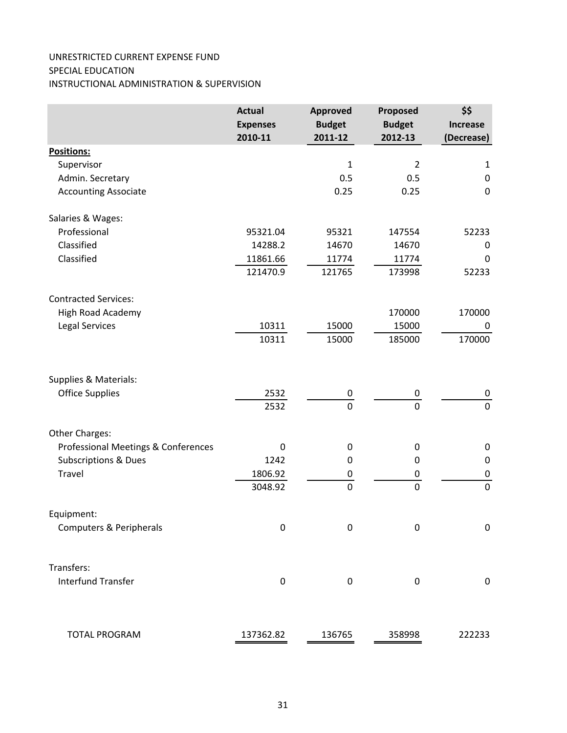## UNRESTRICTED CURRENT EXPENSE FUND SPECIAL EDUCATION INSTRUCTIONAL ADMINISTRATION & SUPERVISION

|                                     | <b>Actual</b>    | <b>Approved</b>  | Proposed         | \$\$             |  |
|-------------------------------------|------------------|------------------|------------------|------------------|--|
|                                     | <b>Expenses</b>  | <b>Budget</b>    | <b>Budget</b>    | <b>Increase</b>  |  |
|                                     | 2010-11          | 2011-12          | 2012-13          | (Decrease)       |  |
| <b>Positions:</b>                   |                  |                  |                  |                  |  |
| Supervisor                          |                  | $\mathbf{1}$     | $\overline{2}$   | $\mathbf{1}$     |  |
| Admin. Secretary                    |                  | 0.5              | 0.5              | $\pmb{0}$        |  |
| <b>Accounting Associate</b>         |                  | 0.25             | 0.25             | $\boldsymbol{0}$ |  |
| Salaries & Wages:                   |                  |                  |                  |                  |  |
| Professional                        | 95321.04         | 95321            | 147554           | 52233            |  |
| Classified                          | 14288.2          | 14670            | 14670            | 0                |  |
| Classified                          | 11861.66         | 11774            | 11774            | 0                |  |
|                                     | 121470.9         | 121765           | 173998           | 52233            |  |
| <b>Contracted Services:</b>         |                  |                  |                  |                  |  |
| High Road Academy                   |                  |                  | 170000           | 170000           |  |
| Legal Services                      | 10311            | 15000            | 15000            | 0                |  |
|                                     | 10311            | 15000            | 185000           | 170000           |  |
| Supplies & Materials:               |                  |                  |                  |                  |  |
| <b>Office Supplies</b>              | 2532             | $\boldsymbol{0}$ | $\boldsymbol{0}$ | 0                |  |
|                                     | 2532             | $\overline{0}$   | $\mathbf 0$      | $\pmb{0}$        |  |
| Other Charges:                      |                  |                  |                  |                  |  |
| Professional Meetings & Conferences | $\boldsymbol{0}$ | 0                | $\pmb{0}$        | 0                |  |
| <b>Subscriptions &amp; Dues</b>     | 1242             | 0                | $\boldsymbol{0}$ | $\boldsymbol{0}$ |  |
| Travel                              | 1806.92          | $\pmb{0}$        | 0                | $\pmb{0}$        |  |
|                                     | 3048.92          | $\pmb{0}$        | $\mathbf 0$      | $\pmb{0}$        |  |
| Equipment:                          |                  |                  |                  |                  |  |
| <b>Computers &amp; Peripherals</b>  | $\boldsymbol{0}$ | $\mathbf 0$      | $\boldsymbol{0}$ | $\mathbf 0$      |  |
| Transfers:                          |                  |                  |                  |                  |  |
| <b>Interfund Transfer</b>           | $\pmb{0}$        | $\boldsymbol{0}$ | $\boldsymbol{0}$ | $\pmb{0}$        |  |
| <b>TOTAL PROGRAM</b>                | 137362.82        | 136765           | 358998           | 222233           |  |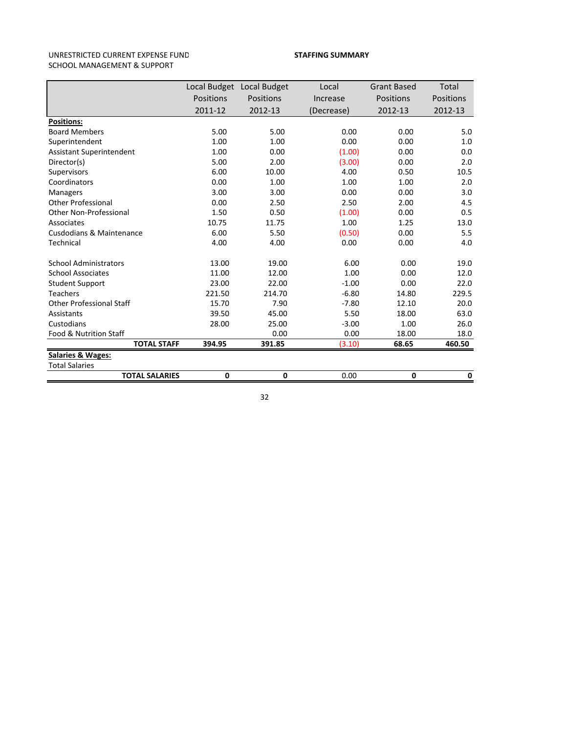#### UNRESTRICTED CURRENT EXPENSE FUND SCHOOL MANAGEMENT & SUPPORT

#### **STAFFING SUMMARY**

|                                     |           | Local Budget Local Budget | Local      | <b>Grant Based</b> | Total     |
|-------------------------------------|-----------|---------------------------|------------|--------------------|-----------|
|                                     | Positions | Positions                 | Increase   | Positions          | Positions |
|                                     | 2011-12   | 2012-13                   | (Decrease) | 2012-13            | 2012-13   |
| <b>Positions:</b>                   |           |                           |            |                    |           |
| <b>Board Members</b>                | 5.00      | 5.00                      | 0.00       | 0.00               | 5.0       |
| Superintendent                      | 1.00      | 1.00                      | 0.00       | 0.00               | 1.0       |
| <b>Assistant Superintendent</b>     | 1.00      | 0.00                      | (1.00)     | 0.00               | 0.0       |
| Director(s)                         | 5.00      | 2.00                      | (3.00)     | 0.00               | 2.0       |
| Supervisors                         | 6.00      | 10.00                     | 4.00       | 0.50               | 10.5      |
| Coordinators                        | 0.00      | 1.00                      | 1.00       | 1.00               | 2.0       |
| <b>Managers</b>                     | 3.00      | 3.00                      | 0.00       | 0.00               | 3.0       |
| <b>Other Professional</b>           | 0.00      | 2.50                      | 2.50       | 2.00               | 4.5       |
| <b>Other Non-Professional</b>       | 1.50      | 0.50                      | (1.00)     | 0.00               | 0.5       |
| Associates                          | 10.75     | 11.75                     | 1.00       | 1.25               | 13.0      |
| <b>Cusdodians &amp; Maintenance</b> | 6.00      | 5.50                      | (0.50)     | 0.00               | 5.5       |
| Technical                           | 4.00      | 4.00                      | 0.00       | 0.00               | 4.0       |
| <b>School Administrators</b>        | 13.00     | 19.00                     | 6.00       | 0.00               | 19.0      |
| <b>School Associates</b>            | 11.00     | 12.00                     | 1.00       | 0.00               | 12.0      |
| <b>Student Support</b>              | 23.00     | 22.00                     | $-1.00$    | 0.00               | 22.0      |
| <b>Teachers</b>                     | 221.50    | 214.70                    | $-6.80$    | 14.80              | 229.5     |
| <b>Other Professional Staff</b>     | 15.70     | 7.90                      | $-7.80$    | 12.10              | 20.0      |
| Assistants                          | 39.50     | 45.00                     | 5.50       | 18.00              | 63.0      |
| Custodians                          | 28.00     | 25.00                     | $-3.00$    | 1.00               | 26.0      |
| Food & Nutrition Staff              |           | 0.00                      | 0.00       | 18.00              | 18.0      |
| <b>TOTAL STAFF</b>                  | 394.95    | 391.85                    | (3.10)     | 68.65              | 460.50    |
| <b>Salaries &amp; Wages:</b>        |           |                           |            |                    |           |
| <b>Total Salaries</b>               |           |                           |            |                    |           |
| <b>TOTAL SALARIES</b>               | 0         | 0                         | 0.00       | 0                  | 0         |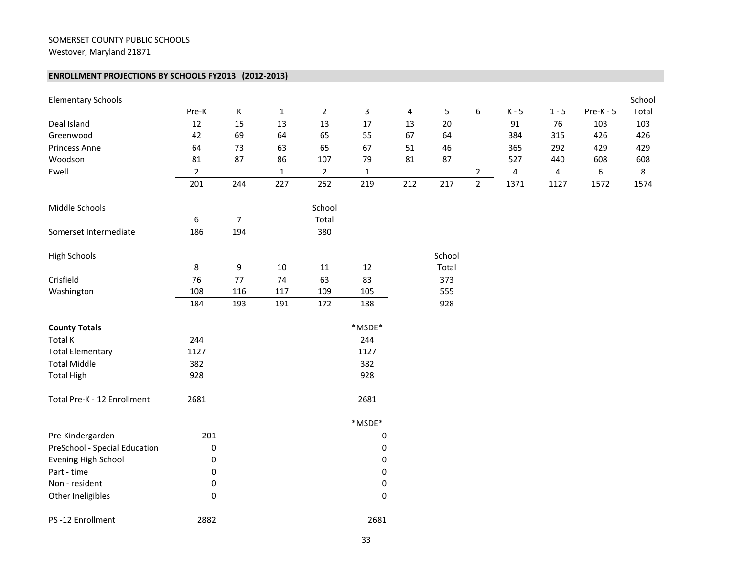#### SOMERSET COUNTY PUBLIC SCHOOLS

Westover, Maryland 21871

#### **ENROLLMENT PROJECTIONS BY SCHOOLS FY2013 (2012‐2013)**

| <b>Elementary Schools</b>     |                  |                |              |                |                |     |        |                |           |         |             | School |
|-------------------------------|------------------|----------------|--------------|----------------|----------------|-----|--------|----------------|-----------|---------|-------------|--------|
|                               | Pre-K            | $\mathsf K$    | $1\,$        | $\overline{2}$ | $\mathsf 3$    | 4   | 5      | 6              | $K - 5$   | $1 - 5$ | $Pre-K - 5$ | Total  |
| Deal Island                   | 12               | 15             | 13           | 13             | 17             | 13  | 20     |                | 91        | 76      | 103         | 103    |
| Greenwood                     | 42               | 69             | 64           | 65             | 55             | 67  | 64     |                | 384       | 315     | 426         | 426    |
| Princess Anne                 | 64               | 73             | 63           | 65             | 67             | 51  | 46     |                | 365       | 292     | 429         | 429    |
| Woodson                       | 81               | 87             | 86           | 107            | 79             | 81  | 87     |                | 527       | 440     | 608         | 608    |
| Ewell                         | $\overline{2}$   |                | $\mathbf{1}$ | $\overline{2}$ | $\mathbf 1$    |     |        | 2              | $\pmb{4}$ | 4       | 6           | 8      |
|                               | 201              | 244            | 227          | 252            | 219            | 212 | 217    | $\overline{2}$ | 1371      | 1127    | 1572        | 1574   |
| Middle Schools                |                  |                |              | School         |                |     |        |                |           |         |             |        |
|                               | $\boldsymbol{6}$ | $\overline{7}$ |              | Total          |                |     |        |                |           |         |             |        |
| Somerset Intermediate         | 186              | 194            |              | 380            |                |     |        |                |           |         |             |        |
| <b>High Schools</b>           |                  |                |              |                |                |     | School |                |           |         |             |        |
|                               | $\bf 8$          | 9              | $10\,$       | 11             | $12\,$         |     | Total  |                |           |         |             |        |
| Crisfield                     | 76               | 77             | 74           | 63             | 83             |     | 373    |                |           |         |             |        |
| Washington                    | 108              | 116            | 117          | 109            | 105            |     | 555    |                |           |         |             |        |
|                               | 184              | 193            | 191          | 172            | 188            |     | 928    |                |           |         |             |        |
| <b>County Totals</b>          |                  |                |              |                | *MSDE*         |     |        |                |           |         |             |        |
| Total K                       | 244              |                |              |                | 244            |     |        |                |           |         |             |        |
| <b>Total Elementary</b>       | 1127             |                |              |                | 1127           |     |        |                |           |         |             |        |
| <b>Total Middle</b>           | 382              |                |              |                | 382            |     |        |                |           |         |             |        |
| <b>Total High</b>             | 928              |                |              |                | 928            |     |        |                |           |         |             |        |
| Total Pre-K - 12 Enrollment   | 2681             |                |              |                | 2681           |     |        |                |           |         |             |        |
|                               |                  |                |              |                | $^*$ MSDE $^*$ |     |        |                |           |         |             |        |
| Pre-Kindergarden              | 201              |                |              |                | $\pmb{0}$      |     |        |                |           |         |             |        |
| PreSchool - Special Education | $\pmb{0}$        |                |              |                | $\pmb{0}$      |     |        |                |           |         |             |        |
| Evening High School           | $\pmb{0}$        |                |              |                | $\pmb{0}$      |     |        |                |           |         |             |        |
| Part - time                   | $\pmb{0}$        |                |              |                | $\pmb{0}$      |     |        |                |           |         |             |        |
| Non - resident                | $\pmb{0}$        |                |              |                | $\pmb{0}$      |     |        |                |           |         |             |        |
| Other Ineligibles             | $\pmb{0}$        |                |              |                | $\pmb{0}$      |     |        |                |           |         |             |        |
| PS-12 Enrollment              | 2882             |                |              |                | 2681           |     |        |                |           |         |             |        |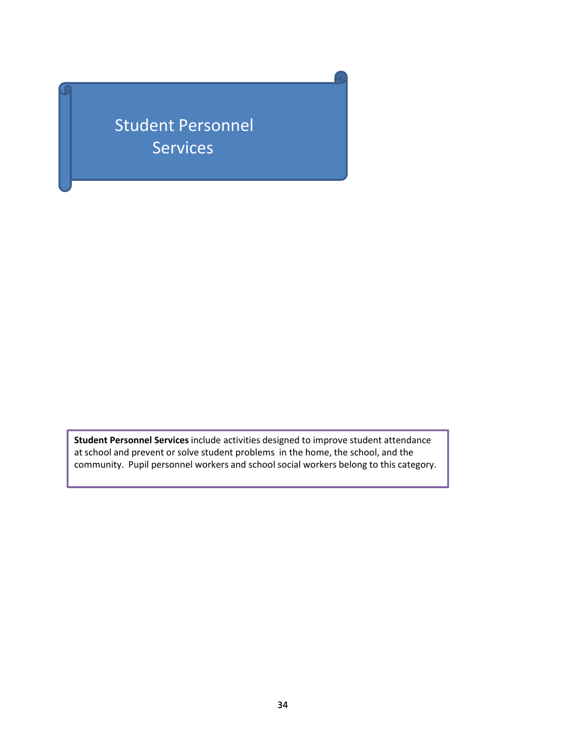Student Personnel Services

**Student Personnel Services** include activities designed to improve student attendance at school and prevent or solve student problems in the home, the school, and the community. Pupil personnel workers and school social workers belong to this category.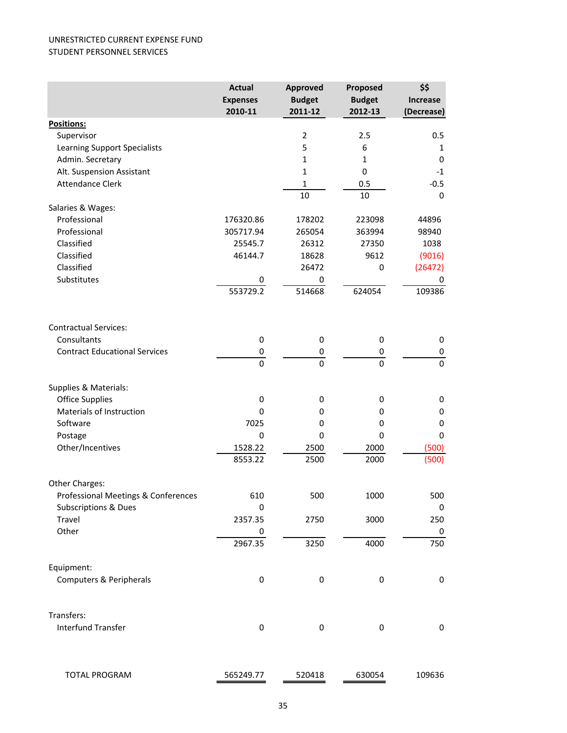#### UNRESTRICTED CURRENT EXPENSE FUND STUDENT PERSONNEL SERVICES

|                                      | <b>Actual</b>   | <b>Approved</b> | Proposed      | \$\$            |
|--------------------------------------|-----------------|-----------------|---------------|-----------------|
|                                      | <b>Expenses</b> | <b>Budget</b>   | <b>Budget</b> | <b>Increase</b> |
|                                      | 2010-11         | 2011-12         | 2012-13       | (Decrease)      |
| Positions:                           |                 |                 |               |                 |
| Supervisor                           |                 | $\overline{2}$  | 2.5           | 0.5             |
| <b>Learning Support Specialists</b>  |                 | 5               | 6             | 1               |
| Admin. Secretary                     |                 | $\mathbf{1}$    | $\mathbf{1}$  | 0               |
| Alt. Suspension Assistant            |                 | $\mathbf{1}$    | 0             | $-1$            |
| <b>Attendance Clerk</b>              |                 | $\mathbf{1}$    | 0.5           | $-0.5$          |
|                                      |                 | 10              | 10            | $\mathbf 0$     |
| Salaries & Wages:                    |                 |                 |               |                 |
| Professional                         | 176320.86       | 178202          | 223098        | 44896           |
| Professional                         | 305717.94       | 265054          | 363994        | 98940           |
| Classified                           | 25545.7         | 26312           | 27350         | 1038            |
| Classified                           | 46144.7         | 18628           | 9612          | (9016)          |
| Classified                           |                 | 26472           | 0             | (26472)         |
| Substitutes                          | 0               | 0               |               | 0               |
|                                      | 553729.2        | 514668          | 624054        | 109386          |
|                                      |                 |                 |               |                 |
| <b>Contractual Services:</b>         |                 |                 |               |                 |
| Consultants                          | 0               | 0               | 0             | 0               |
| <b>Contract Educational Services</b> | 0               | 0               | 0             | 0               |
|                                      | $\mathbf 0$     | $\Omega$        | $\Omega$      | 0               |
| Supplies & Materials:                |                 |                 |               |                 |
| <b>Office Supplies</b>               | 0               | 0               | 0             | 0               |
| Materials of Instruction             | 0               | 0               | 0             | 0               |
| Software                             | 7025            | $\mathbf 0$     | 0             | 0               |
| Postage                              | 0               | $\mathbf 0$     | $\mathbf 0$   | 0               |
| Other/Incentives                     | 1528.22         | 2500            | 2000          | (500)           |
|                                      | 8553.22         | 2500            | 2000          | (500)           |
| Other Charges:                       |                 |                 |               |                 |
| Professional Meetings & Conferences  | 610             | 500             | 1000          | 500             |
| <b>Subscriptions &amp; Dues</b>      | $\mathbf 0$     |                 |               | 0               |
| Travel                               | 2357.35         | 2750            | 3000          | 250             |
| Other                                | 0               |                 |               | 0               |
|                                      | 2967.35         | 3250            | 4000          | 750             |
| Equipment:                           |                 |                 |               |                 |
| Computers & Peripherals              | $\pmb{0}$       | $\pmb{0}$       | 0             | 0               |
| Transfers:                           |                 |                 |               |                 |
| Interfund Transfer                   | $\pmb{0}$       | $\pmb{0}$       | 0             | 0               |
| <b>TOTAL PROGRAM</b>                 | 565249.77       | 520418          | 630054        | 109636          |
|                                      |                 |                 |               |                 |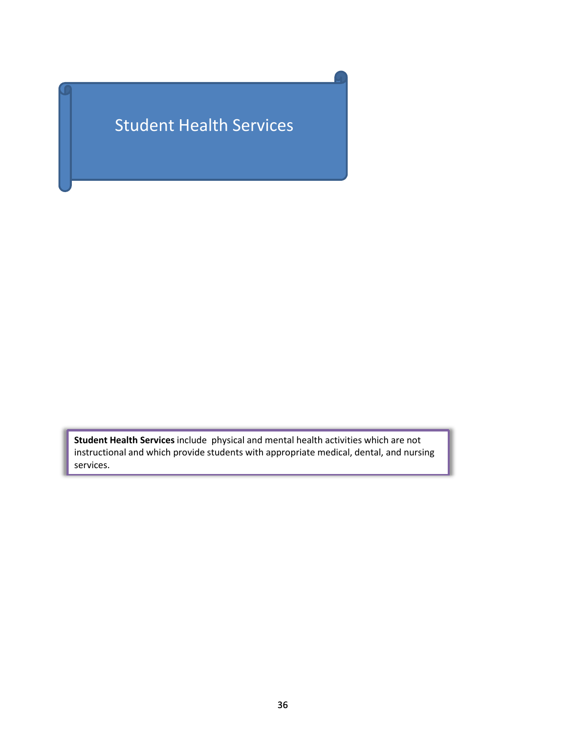# Student Health Services

**Student Health Services** include physical and mental health activities which are not instructional and which provide students with appropriate medical, dental, and nursing services.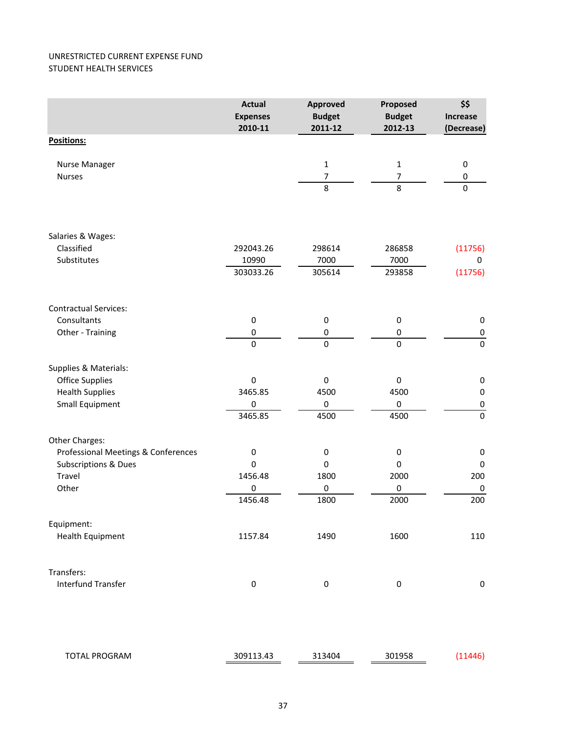### UNRESTRICTED CURRENT EXPENSE FUND STUDENT HEALTH SERVICES

|                                     | <b>Actual</b><br><b>Expenses</b><br>2010-11 | <b>Approved</b><br><b>Budget</b><br>2011-12 | Proposed<br><b>Budget</b><br>2012-13 | \$\$<br><b>Increase</b> |
|-------------------------------------|---------------------------------------------|---------------------------------------------|--------------------------------------|-------------------------|
| <b>Positions:</b>                   |                                             |                                             |                                      | (Decrease)              |
|                                     |                                             |                                             |                                      |                         |
| Nurse Manager                       |                                             | $\mathbf 1$                                 | $\mathbf{1}$                         | 0                       |
| <b>Nurses</b>                       |                                             | $\overline{7}$                              | 7                                    | 0                       |
|                                     |                                             | $\overline{8}$                              | $\overline{8}$                       | $\pmb{0}$               |
| Salaries & Wages:                   |                                             |                                             |                                      |                         |
| Classified                          | 292043.26                                   | 298614                                      | 286858                               | (11756)                 |
| Substitutes                         | 10990                                       | 7000                                        | 7000                                 | 0                       |
|                                     | 303033.26                                   | 305614                                      | 293858                               | (11756)                 |
| <b>Contractual Services:</b>        |                                             |                                             |                                      |                         |
| Consultants                         | $\pmb{0}$                                   | $\pmb{0}$                                   | 0                                    | $\pmb{0}$               |
| Other - Training                    | 0                                           | 0                                           | $\pmb{0}$                            | $\pmb{0}$               |
|                                     | $\overline{0}$                              | $\overline{0}$                              | $\mathbf 0$                          | $\pmb{0}$               |
| Supplies & Materials:               |                                             |                                             |                                      |                         |
| <b>Office Supplies</b>              | $\boldsymbol{0}$                            | $\boldsymbol{0}$                            | $\mathbf 0$                          | $\pmb{0}$               |
| <b>Health Supplies</b>              | 3465.85                                     | 4500                                        | 4500                                 | $\boldsymbol{0}$        |
| Small Equipment                     | 0                                           | $\pmb{0}$                                   | 0                                    | $\pmb{0}$               |
|                                     | 3465.85                                     | 4500                                        | 4500                                 | $\pmb{0}$               |
| Other Charges:                      |                                             |                                             |                                      |                         |
| Professional Meetings & Conferences | $\pmb{0}$                                   | $\pmb{0}$                                   | $\pmb{0}$                            | $\pmb{0}$               |
| Subscriptions & Dues                | $\mathbf 0$                                 | $\bf{0}$                                    | 0                                    | $\pmb{0}$               |
| Travel                              | 1456.48                                     | 1800                                        | 2000                                 | 200                     |
| Other                               | 0                                           | $\pmb{0}$                                   | $\mathbf 0$                          | $\pmb{0}$               |
|                                     | 1456.48                                     | 1800                                        | 2000                                 | 200                     |
| Equipment:                          |                                             |                                             |                                      |                         |
| <b>Health Equipment</b>             | 1157.84                                     | 1490                                        | 1600                                 | 110                     |
| Transfers:                          |                                             |                                             |                                      |                         |
| <b>Interfund Transfer</b>           | $\boldsymbol{0}$                            | $\pmb{0}$                                   | $\pmb{0}$                            | $\pmb{0}$               |
| TOTAL PROGRAM                       | 309113.43                                   | 313404                                      | 301958                               | (11446)                 |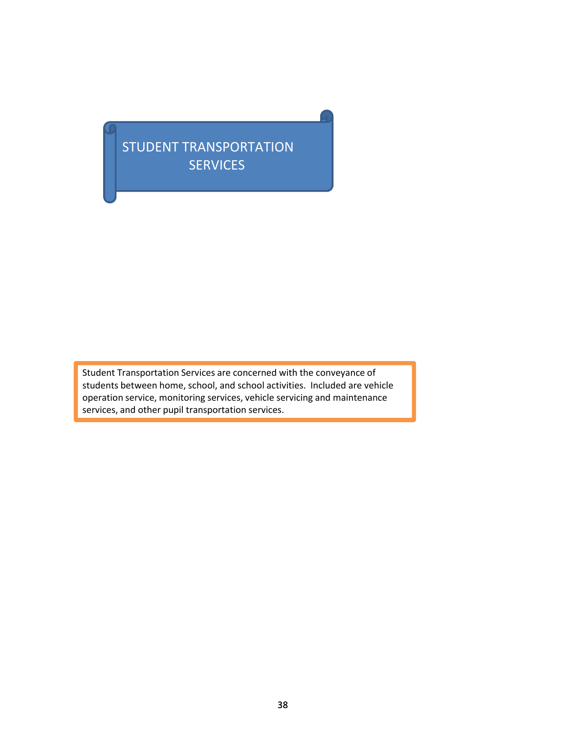## STUDENT TRANSPORTATION **SERVICES**

Student Transportation Services are concerned with the conveyance of Student students between home, school, and school activities. Included are vehicle operation service, monitoring services, vehicle servicing and maintenance services, and other pupil transportation services.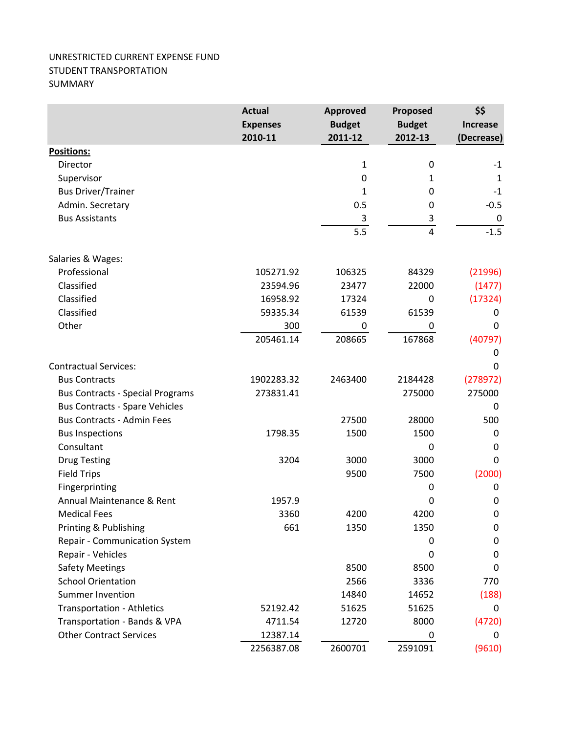## UNRESTRICTED CURRENT EXPENSE FUND STUDENT TRANSPORTATION SUMMARY

|                                         | <b>Actual</b>              | <b>Approved</b><br><b>Budget</b> | Proposed<br><b>Budget</b> | \$\$<br><b>Increase</b> |
|-----------------------------------------|----------------------------|----------------------------------|---------------------------|-------------------------|
|                                         | <b>Expenses</b><br>2010-11 | 2011-12                          | 2012-13                   | (Decrease)              |
| Positions:                              |                            |                                  |                           |                         |
| Director                                |                            | $\mathbf{1}$                     | $\pmb{0}$                 | $-1$                    |
| Supervisor                              |                            | 0                                | 1                         | $\mathbf{1}$            |
| <b>Bus Driver/Trainer</b>               |                            | 1                                | 0                         | $^{\mbox{-}}1$          |
| Admin. Secretary                        |                            | 0.5                              | 0                         | $-0.5$                  |
| <b>Bus Assistants</b>                   |                            | 3                                | $\overline{3}$            | $\boldsymbol{0}$        |
|                                         |                            | 5.5                              | $\overline{4}$            | $-1.5$                  |
| Salaries & Wages:                       |                            |                                  |                           |                         |
| Professional                            | 105271.92                  | 106325                           | 84329                     | (21996)                 |
| Classified                              | 23594.96                   | 23477                            | 22000                     | (1477)                  |
| Classified                              | 16958.92                   | 17324                            | 0                         | (17324)                 |
| Classified                              | 59335.34                   | 61539                            | 61539                     | 0                       |
| Other                                   | 300                        | 0                                | 0                         | 0                       |
|                                         | 205461.14                  | 208665                           | 167868                    | (40797)                 |
|                                         |                            |                                  |                           | 0                       |
| <b>Contractual Services:</b>            |                            |                                  |                           | 0                       |
| <b>Bus Contracts</b>                    | 1902283.32                 | 2463400                          | 2184428                   | (278972)                |
| <b>Bus Contracts - Special Programs</b> | 273831.41                  |                                  | 275000                    | 275000                  |
| <b>Bus Contracts - Spare Vehicles</b>   |                            |                                  |                           | 0                       |
| <b>Bus Contracts - Admin Fees</b>       |                            | 27500                            | 28000                     | 500                     |
| <b>Bus Inspections</b>                  | 1798.35                    | 1500                             | 1500                      | 0                       |
| Consultant                              |                            |                                  | 0                         | 0                       |
| <b>Drug Testing</b>                     | 3204                       | 3000                             | 3000                      | 0                       |
| <b>Field Trips</b>                      |                            | 9500                             | 7500                      | (2000)                  |
| Fingerprinting                          |                            |                                  | $\mathbf 0$               | 0                       |
| Annual Maintenance & Rent               | 1957.9                     |                                  | 0                         | 0                       |
| <b>Medical Fees</b>                     | 3360                       | 4200                             | 4200                      | $\mathbf 0$             |
| Printing & Publishing                   | 661                        | 1350                             | 1350                      | 0                       |
| <b>Repair - Communication System</b>    |                            |                                  | 0                         | 0                       |
| Repair - Vehicles                       |                            |                                  | 0                         | $\mathbf 0$             |
| <b>Safety Meetings</b>                  |                            | 8500                             | 8500                      | 0                       |
| <b>School Orientation</b>               |                            | 2566                             | 3336                      | 770                     |
| <b>Summer Invention</b>                 |                            | 14840                            | 14652                     | (188)                   |
| <b>Transportation - Athletics</b>       | 52192.42                   | 51625                            | 51625                     | 0                       |
| Transportation - Bands & VPA            | 4711.54                    | 12720                            | 8000                      | (4720)                  |
| <b>Other Contract Services</b>          | 12387.14                   |                                  | 0                         | 0                       |
|                                         | 2256387.08                 | 2600701                          | 2591091                   | (9610)                  |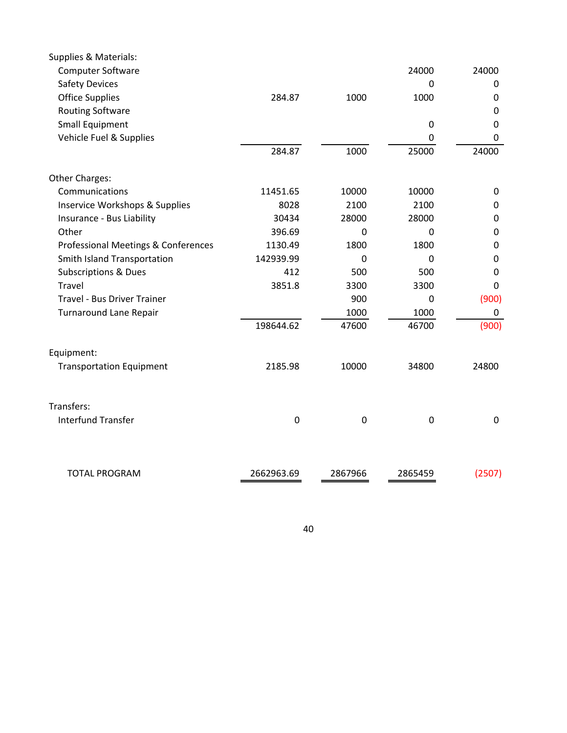| Supplies & Materials:               |                  |                  |                  |             |
|-------------------------------------|------------------|------------------|------------------|-------------|
| <b>Computer Software</b>            |                  |                  | 24000            | 24000       |
| <b>Safety Devices</b>               |                  |                  | 0                | 0           |
| <b>Office Supplies</b>              | 284.87           | 1000             | 1000             | 0           |
| <b>Routing Software</b>             |                  |                  |                  | $\mathbf 0$ |
| Small Equipment                     |                  |                  | $\mathbf 0$      | 0           |
| Vehicle Fuel & Supplies             |                  |                  | 0                | 0           |
|                                     | 284.87           | 1000             | 25000            | 24000       |
| Other Charges:                      |                  |                  |                  |             |
| Communications                      | 11451.65         | 10000            | 10000            | 0           |
| Inservice Workshops & Supplies      | 8028             | 2100             | 2100             | $\mathbf 0$ |
| Insurance - Bus Liability           | 30434            | 28000            | 28000            | 0           |
| Other                               | 396.69           | 0                | 0                | 0           |
| Professional Meetings & Conferences | 1130.49          | 1800             | 1800             | $\mathbf 0$ |
| Smith Island Transportation         | 142939.99        | 0                | 0                | 0           |
| <b>Subscriptions &amp; Dues</b>     | 412              | 500              | 500              | 0           |
| <b>Travel</b>                       | 3851.8           | 3300             | 3300             | 0           |
| Travel - Bus Driver Trainer         |                  | 900              | 0                | (900)       |
| <b>Turnaround Lane Repair</b>       |                  | 1000             | 1000             | 0           |
|                                     | 198644.62        | 47600            | 46700            | (900)       |
| Equipment:                          |                  |                  |                  |             |
| <b>Transportation Equipment</b>     | 2185.98          | 10000            | 34800            | 24800       |
| Transfers:                          |                  |                  |                  |             |
| <b>Interfund Transfer</b>           | $\boldsymbol{0}$ | $\boldsymbol{0}$ | $\boldsymbol{0}$ | $\mathbf 0$ |
|                                     |                  |                  |                  |             |
| <b>TOTAL PROGRAM</b>                | 2662963.69       | 2867966          | 2865459          | (2507)      |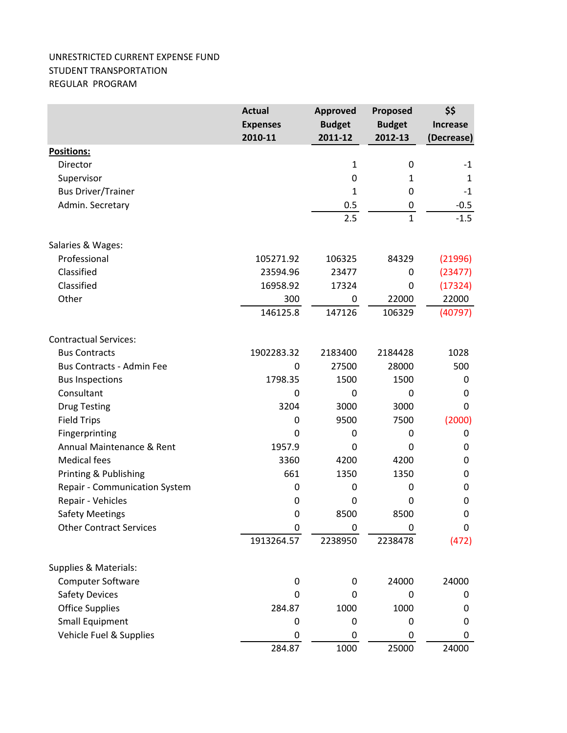## UNRESTRICTED CURRENT EXPENSE FUND STUDENT TRANSPORTATION REGULAR PROGRAM

|                                  | <b>Actual</b><br><b>Expenses</b><br>2010-11 | <b>Approved</b><br><b>Budget</b><br>2011-12 | Proposed<br><b>Budget</b><br>2012-13 | \$\$<br><b>Increase</b><br>(Decrease) |
|----------------------------------|---------------------------------------------|---------------------------------------------|--------------------------------------|---------------------------------------|
| Positions:                       |                                             |                                             |                                      |                                       |
| Director                         |                                             | $\mathbf{1}$                                | 0                                    | $-1$                                  |
| Supervisor                       |                                             | 0                                           | 1                                    | 1                                     |
| <b>Bus Driver/Trainer</b>        |                                             | 1                                           | 0                                    | $-1$                                  |
| Admin. Secretary                 |                                             | 0.5                                         | 0                                    | $-0.5$                                |
|                                  |                                             | 2.5                                         | $\mathbf{1}$                         | $-1.5$                                |
| Salaries & Wages:                |                                             |                                             |                                      |                                       |
| Professional                     | 105271.92                                   | 106325                                      | 84329                                | (21996)                               |
| Classified                       | 23594.96                                    | 23477                                       | 0                                    | (23477)                               |
| Classified                       | 16958.92                                    | 17324                                       | 0                                    | (17324)                               |
| Other                            | 300                                         | 0                                           | 22000                                | 22000                                 |
|                                  | 146125.8                                    | 147126                                      | 106329                               | (40797)                               |
| <b>Contractual Services:</b>     |                                             |                                             |                                      |                                       |
| <b>Bus Contracts</b>             | 1902283.32                                  | 2183400                                     | 2184428                              | 1028                                  |
| <b>Bus Contracts - Admin Fee</b> | 0                                           | 27500                                       | 28000                                | 500                                   |
| <b>Bus Inspections</b>           | 1798.35                                     | 1500                                        | 1500                                 | 0                                     |
| Consultant                       | $\mathbf 0$                                 | 0                                           | 0                                    | 0                                     |
| <b>Drug Testing</b>              | 3204                                        | 3000                                        | 3000                                 | 0                                     |
| <b>Field Trips</b>               | 0                                           | 9500                                        | 7500                                 | (2000)                                |
| Fingerprinting                   | $\Omega$                                    | 0                                           | 0                                    | 0                                     |
| Annual Maintenance & Rent        | 1957.9                                      | 0                                           | $\Omega$                             | 0                                     |
| <b>Medical fees</b>              | 3360                                        | 4200                                        | 4200                                 | 0                                     |
| Printing & Publishing            | 661                                         | 1350                                        | 1350                                 | 0                                     |
| Repair - Communication System    | $\boldsymbol{0}$                            | 0                                           | 0                                    | 0                                     |
| Repair - Vehicles                | 0                                           | $\mathbf{0}$                                | 0                                    | 0                                     |
| <b>Safety Meetings</b>           | $\mathbf 0$                                 | 8500                                        | 8500                                 | 0                                     |
| <b>Other Contract Services</b>   | $\mathbf 0$                                 | 0                                           | 0                                    | 0                                     |
|                                  | 1913264.57                                  | 2238950                                     | 2238478                              | (472)                                 |
| Supplies & Materials:            |                                             |                                             |                                      |                                       |
| Computer Software                | $\pmb{0}$                                   | $\mathbf 0$                                 | 24000                                | 24000                                 |
| <b>Safety Devices</b>            | $\Omega$                                    | 0                                           | 0                                    | 0                                     |
| <b>Office Supplies</b>           | 284.87                                      | 1000                                        | 1000                                 | 0                                     |
| <b>Small Equipment</b>           | 0                                           | 0                                           | 0                                    | 0                                     |
| Vehicle Fuel & Supplies          | 0                                           | 0                                           | 0                                    | 0                                     |
|                                  | 284.87                                      | 1000                                        | 25000                                | 24000                                 |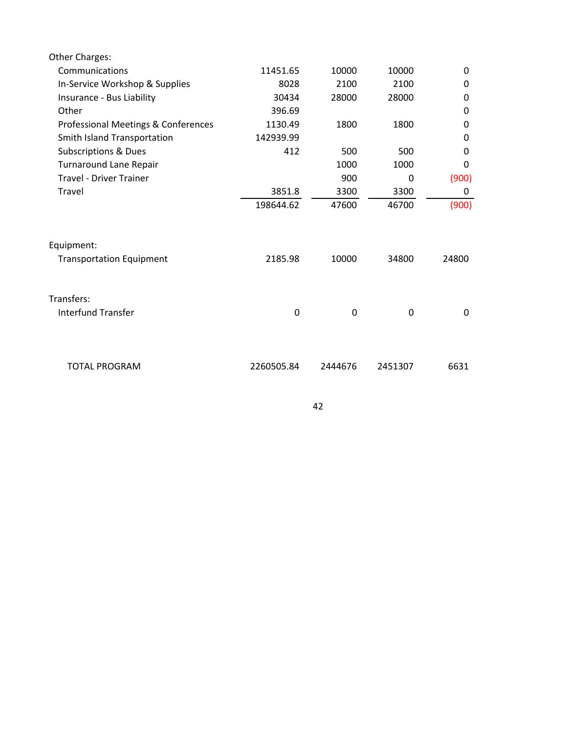| Other Charges:                      |            |         |          |          |
|-------------------------------------|------------|---------|----------|----------|
| Communications                      | 11451.65   | 10000   | 10000    | 0        |
| In-Service Workshop & Supplies      | 8028       | 2100    | 2100     | 0        |
| Insurance - Bus Liability           | 30434      | 28000   | 28000    | 0        |
| Other                               | 396.69     |         |          | 0        |
| Professional Meetings & Conferences | 1130.49    | 1800    | 1800     | 0        |
| Smith Island Transportation         | 142939.99  |         |          | 0        |
| <b>Subscriptions &amp; Dues</b>     | 412        | 500     | 500      | $\Omega$ |
| Turnaround Lane Repair              |            | 1000    | 1000     | $\Omega$ |
| <b>Travel - Driver Trainer</b>      |            | 900     | $\Omega$ | (900)    |
| Travel                              | 3851.8     | 3300    | 3300     | 0        |
|                                     | 198644.62  | 47600   | 46700    | (900)    |
| Equipment:                          |            |         |          |          |
| <b>Transportation Equipment</b>     | 2185.98    | 10000   | 34800    | 24800    |
| Transfers:                          |            |         |          |          |
| <b>Interfund Transfer</b>           | 0          | 0       | 0        | $\Omega$ |
|                                     |            |         |          |          |
| <b>TOTAL PROGRAM</b>                | 2260505.84 | 2444676 | 2451307  | 6631     |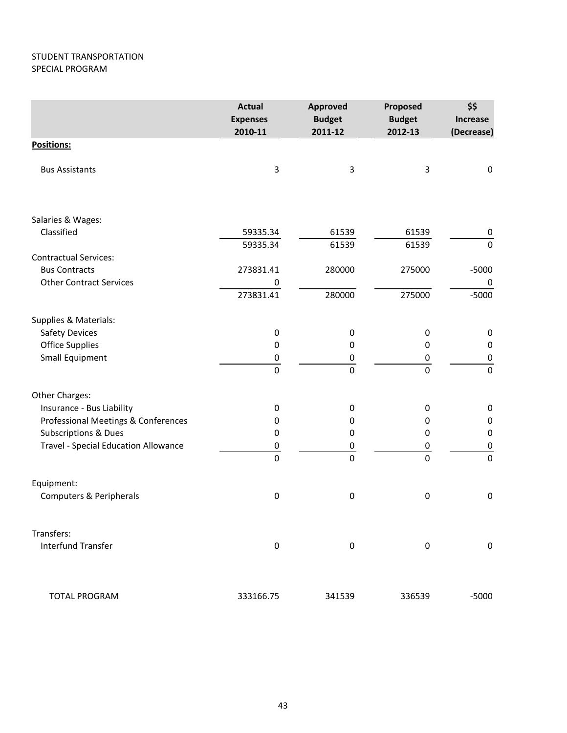## STUDENT TRANSPORTATION SPECIAL PROGRAM

|                                             | <b>Actual</b><br><b>Expenses</b><br>2010-11 | <b>Approved</b><br><b>Budget</b><br>2011-12 | Proposed<br><b>Budget</b><br>2012-13 | \$\$<br><b>Increase</b><br>(Decrease) |
|---------------------------------------------|---------------------------------------------|---------------------------------------------|--------------------------------------|---------------------------------------|
| Positions:                                  |                                             |                                             |                                      |                                       |
| <b>Bus Assistants</b>                       | 3                                           | 3                                           | 3                                    | $\pmb{0}$                             |
| Salaries & Wages:                           |                                             |                                             |                                      |                                       |
| Classified                                  | 59335.34                                    | 61539                                       | 61539                                | $\pmb{0}$                             |
|                                             | 59335.34                                    | 61539                                       | 61539                                | $\boldsymbol{0}$                      |
| <b>Contractual Services:</b>                |                                             |                                             |                                      |                                       |
| <b>Bus Contracts</b>                        | 273831.41                                   | 280000                                      | 275000                               | $-5000$                               |
| <b>Other Contract Services</b>              | 0                                           |                                             |                                      | 0                                     |
|                                             | 273831.41                                   | 280000                                      | 275000                               | $-5000$                               |
| Supplies & Materials:                       |                                             |                                             |                                      |                                       |
| Safety Devices                              | $\pmb{0}$                                   | $\boldsymbol{0}$                            | 0                                    | $\pmb{0}$                             |
| <b>Office Supplies</b>                      | $\mathbf 0$                                 | 0                                           | 0                                    | $\pmb{0}$                             |
| <b>Small Equipment</b>                      | $\pmb{0}$                                   | 0                                           | 0                                    | $\pmb{0}$                             |
|                                             | $\mathbf 0$                                 | $\mathbf 0$                                 | $\mathbf 0$                          | $\mathbf 0$                           |
| Other Charges:                              |                                             |                                             |                                      |                                       |
| Insurance - Bus Liability                   | 0                                           | 0                                           | 0                                    | $\pmb{0}$                             |
| Professional Meetings & Conferences         | 0                                           | 0                                           | 0                                    | $\pmb{0}$                             |
| <b>Subscriptions &amp; Dues</b>             | 0                                           | 0                                           | 0                                    | $\pmb{0}$                             |
| <b>Travel - Special Education Allowance</b> | $\pmb{0}$                                   | 0                                           | 0                                    | $\pmb{0}$                             |
|                                             | $\mathbf 0$                                 | $\mathbf 0$                                 | $\mathbf 0$                          | $\mathbf 0$                           |
| Equipment:                                  |                                             |                                             |                                      |                                       |
| Computers & Peripherals                     | $\boldsymbol{0}$                            | 0                                           | $\boldsymbol{0}$                     | $\pmb{0}$                             |
| Transfers:                                  |                                             |                                             |                                      |                                       |
| <b>Interfund Transfer</b>                   | $\pmb{0}$                                   | 0                                           | $\boldsymbol{0}$                     | $\boldsymbol{0}$                      |
| <b>TOTAL PROGRAM</b>                        | 333166.75                                   | 341539                                      | 336539                               | $-5000$                               |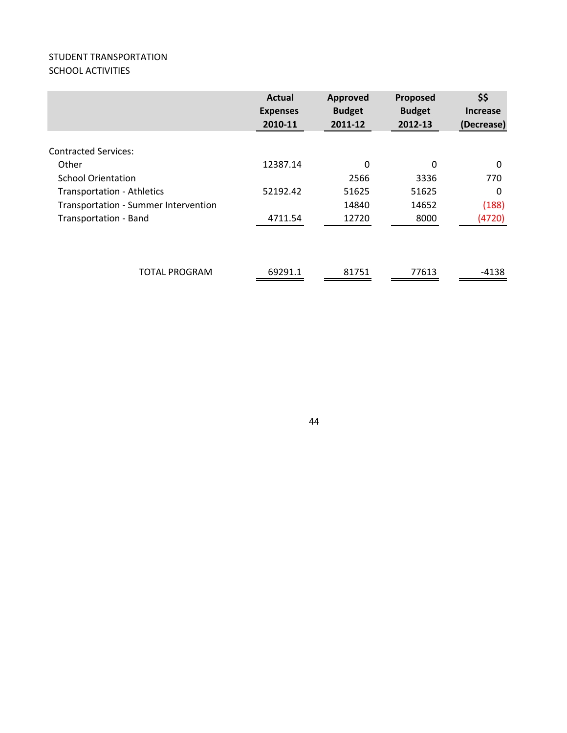## STUDENT TRANSPORTATION SCHOOL ACTIVITIES

|                                      | <b>Actual</b><br><b>Expenses</b><br>2010-11 | Approved<br><b>Budget</b><br>2011-12 | Proposed<br><b>Budget</b><br>2012-13 | \$\$<br><b>Increase</b><br>(Decrease) |
|--------------------------------------|---------------------------------------------|--------------------------------------|--------------------------------------|---------------------------------------|
| <b>Contracted Services:</b>          |                                             |                                      |                                      |                                       |
| Other                                | 12387.14                                    | $\Omega$                             | $\Omega$                             | 0                                     |
| <b>School Orientation</b>            |                                             | 2566                                 | 3336                                 | 770                                   |
| <b>Transportation - Athletics</b>    | 52192.42                                    | 51625                                | 51625                                | 0                                     |
| Transportation - Summer Intervention |                                             | 14840                                | 14652                                | (188)                                 |
| Transportation - Band                | 4711.54                                     | 12720                                | 8000                                 | (4720)                                |
|                                      |                                             |                                      |                                      |                                       |
| <b>TOTAL PROGRAM</b>                 | 69291.1                                     | 81751                                | 77613                                | $-4138$                               |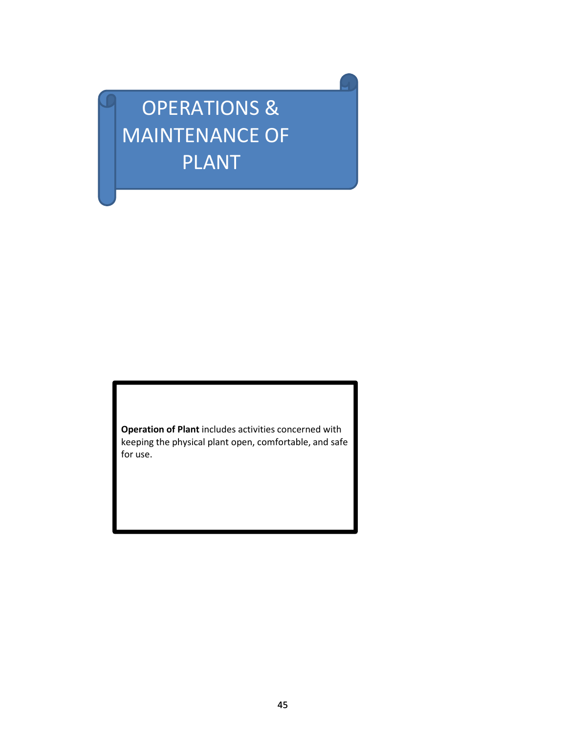# OPERATIONS & MAINTENANCE OF PLANT

**Operation of Plant** includes activities concerned with keeping the physical plant open, comfortable, and safe for use.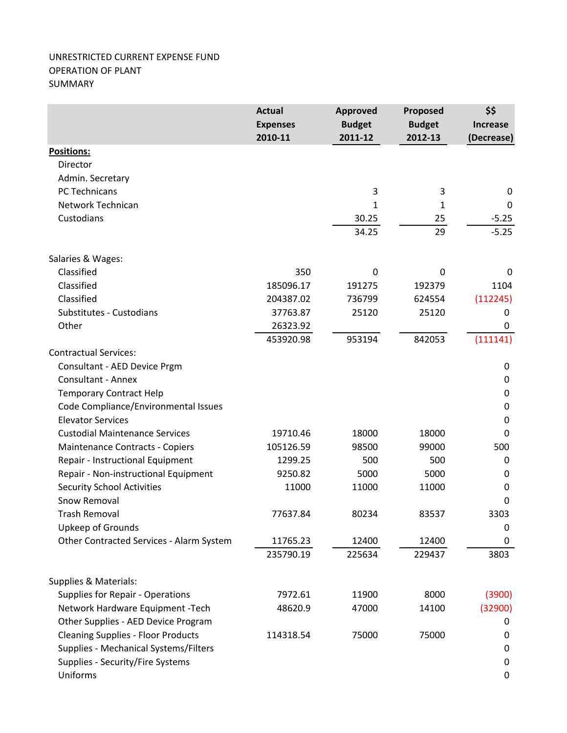## UNRESTRICTED CURRENT EXPENSE FUND OPERATION OF PLANT SUMMARY

|                                           | <b>Actual</b>   | <b>Approved</b> | Proposed      | \$\$            |
|-------------------------------------------|-----------------|-----------------|---------------|-----------------|
|                                           | <b>Expenses</b> | <b>Budget</b>   | <b>Budget</b> | <b>Increase</b> |
|                                           | 2010-11         | 2011-12         | 2012-13       | (Decrease)      |
| <b>Positions:</b>                         |                 |                 |               |                 |
| Director                                  |                 |                 |               |                 |
| Admin. Secretary                          |                 |                 |               |                 |
| PC Technicans                             |                 | 3               | 3             | 0               |
| Network Technican                         |                 | 1               | 1             | 0               |
| Custodians                                |                 | 30.25           | 25            | $-5.25$         |
|                                           |                 | 34.25           | 29            | $-5.25$         |
| Salaries & Wages:                         |                 |                 |               |                 |
| Classified                                | 350             | 0               | 0             | 0               |
| Classified                                | 185096.17       | 191275          | 192379        | 1104            |
| Classified                                | 204387.02       | 736799          | 624554        | (112245)        |
| Substitutes - Custodians                  | 37763.87        | 25120           | 25120         | 0               |
| Other                                     | 26323.92        |                 |               | $\mathbf 0$     |
|                                           | 453920.98       | 953194          | 842053        | (111141)        |
| <b>Contractual Services:</b>              |                 |                 |               |                 |
| Consultant - AED Device Prgm              |                 |                 |               | $\mathbf 0$     |
| <b>Consultant - Annex</b>                 |                 |                 |               | $\mathbf 0$     |
| <b>Temporary Contract Help</b>            |                 |                 |               | $\pmb{0}$       |
| Code Compliance/Environmental Issues      |                 |                 |               | $\mathbf 0$     |
| <b>Elevator Services</b>                  |                 |                 |               | 0               |
| <b>Custodial Maintenance Services</b>     | 19710.46        | 18000           | 18000         | 0               |
| Maintenance Contracts - Copiers           | 105126.59       | 98500           | 99000         | 500             |
| Repair - Instructional Equipment          | 1299.25         | 500             | 500           | 0               |
| Repair - Non-instructional Equipment      | 9250.82         | 5000            | 5000          | $\mathbf 0$     |
| <b>Security School Activities</b>         | 11000           | 11000           | 11000         | 0               |
| Snow Removal                              |                 |                 |               | $\Omega$        |
| <b>Trash Removal</b>                      | 77637.84        | 80234           | 83537         | 3303            |
| Upkeep of Grounds                         |                 |                 |               | 0               |
| Other Contracted Services - Alarm System  | 11765.23        | 12400           | 12400         | $\mathbf 0$     |
|                                           | 235790.19       | 225634          | 229437        | 3803            |
| Supplies & Materials:                     |                 |                 |               |                 |
| Supplies for Repair - Operations          | 7972.61         | 11900           | 8000          | (3900)          |
| Network Hardware Equipment - Tech         | 48620.9         | 47000           | 14100         | (32900)         |
| Other Supplies - AED Device Program       |                 |                 |               | 0               |
| <b>Cleaning Supplies - Floor Products</b> | 114318.54       | 75000           | 75000         | 0               |
| Supplies - Mechanical Systems/Filters     |                 |                 |               | 0               |
| Supplies - Security/Fire Systems          |                 |                 |               | 0               |
| Uniforms                                  |                 |                 |               | $\mathbf 0$     |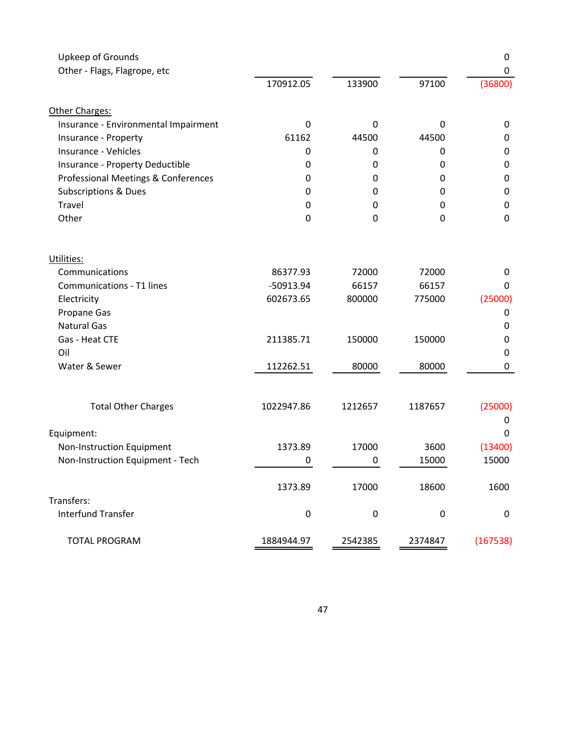| Upkeep of Grounds<br>Other - Flags, Flagrope, etc |             |                  |             | $\mathbf 0$<br>0 |
|---------------------------------------------------|-------------|------------------|-------------|------------------|
|                                                   | 170912.05   | 133900           | 97100       | (36800)          |
| Other Charges:                                    |             |                  |             |                  |
| Insurance - Environmental Impairment              | $\mathbf 0$ | 0                | $\mathbf 0$ | 0                |
| Insurance - Property                              | 61162       | 44500            | 44500       | 0                |
| Insurance - Vehicles                              | 0           | 0                | 0           | $\mathbf 0$      |
| Insurance - Property Deductible                   | 0           | 0                | 0           | 0                |
| Professional Meetings & Conferences               | 0           | 0                | 0           | $\boldsymbol{0}$ |
| <b>Subscriptions &amp; Dues</b>                   | 0           | 0                | 0           | $\boldsymbol{0}$ |
| Travel                                            | 0           | 0                | 0           | $\mathbf 0$      |
| Other                                             | 0           | $\mathbf 0$      | $\mathbf 0$ | $\mathbf 0$      |
| Utilities:                                        |             |                  |             |                  |
| Communications                                    | 86377.93    | 72000            | 72000       | 0                |
| <b>Communications - T1 lines</b>                  | $-50913.94$ | 66157            | 66157       | 0                |
| Electricity                                       | 602673.65   | 800000           | 775000      | (25000)          |
| Propane Gas                                       |             |                  |             | 0                |
| <b>Natural Gas</b>                                |             |                  |             | 0                |
| Gas - Heat CTE                                    | 211385.71   | 150000           | 150000      | $\mathbf 0$      |
| Oil                                               |             |                  |             | 0                |
| Water & Sewer                                     | 112262.51   | 80000            | 80000       | 0                |
|                                                   |             |                  |             |                  |
| <b>Total Other Charges</b>                        | 1022947.86  | 1212657          | 1187657     | (25000)          |
|                                                   |             |                  |             | 0                |
| Equipment:                                        |             |                  |             | 0                |
| Non-Instruction Equipment                         | 1373.89     | 17000            | 3600        | (13400)          |
| Non-Instruction Equipment - Tech                  | 0           | 0                | 15000       | 15000            |
|                                                   | 1373.89     | 17000            | 18600       | 1600             |
| Transfers:                                        |             |                  |             |                  |
| <b>Interfund Transfer</b>                         | $\pmb{0}$   | $\boldsymbol{0}$ | $\mathbf 0$ | $\mathbf 0$      |
| <b>TOTAL PROGRAM</b>                              | 1884944.97  | 2542385          | 2374847     | (167538)         |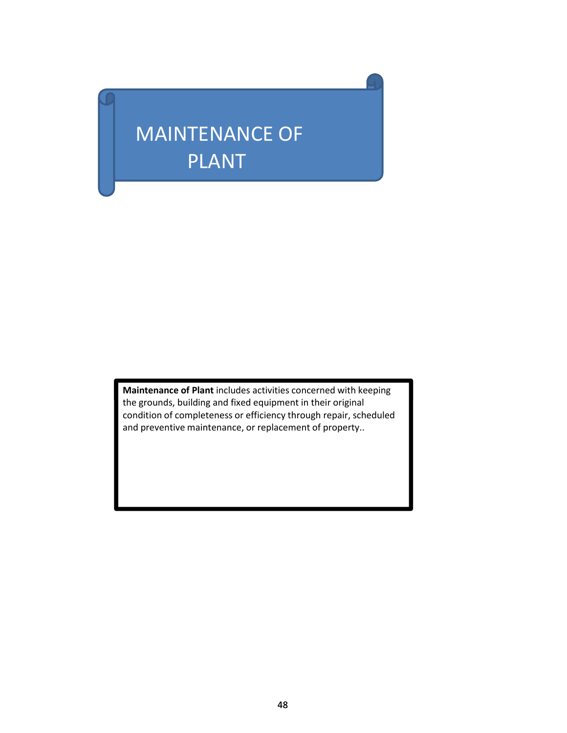# MAINTENANCE OF PLANT

**Maintenance of Plant** includes activities concerned with keeping the grounds, building and fixed equipment in their original condition of completeness or efficiency through repair, scheduled and preventive maintenance, or replacement of property..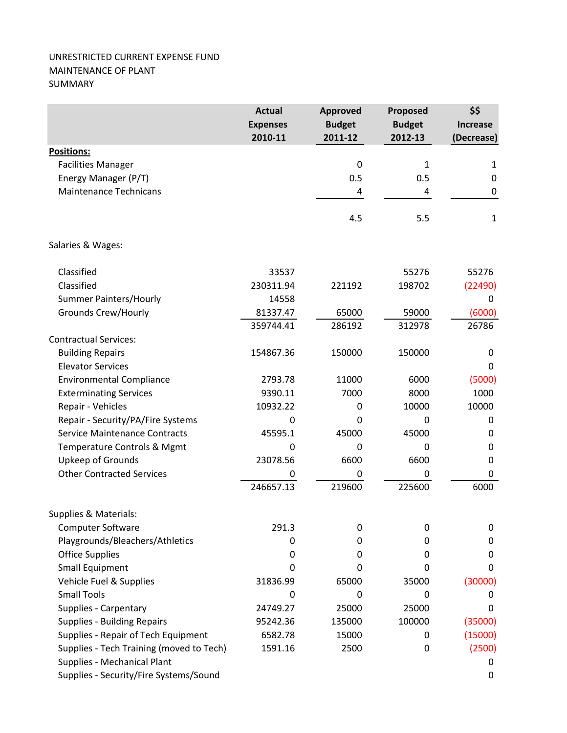## UNRESTRICTED CURRENT EXPENSE FUND MAINTENANCE OF PLANT SUMMARY

|                                          | <b>Actual</b><br><b>Expenses</b> | <b>Approved</b><br><b>Budget</b> | Proposed<br><b>Budget</b> | \$\$            |  |
|------------------------------------------|----------------------------------|----------------------------------|---------------------------|-----------------|--|
|                                          |                                  |                                  |                           | <b>Increase</b> |  |
|                                          | 2010-11                          | 2011-12                          | 2012-13                   | (Decrease)      |  |
| <b>Positions:</b>                        |                                  |                                  |                           |                 |  |
| <b>Facilities Manager</b>                |                                  | 0                                | $\mathbf{1}$              | $\mathbf{1}$    |  |
| Energy Manager (P/T)                     |                                  | 0.5                              | 0.5                       | 0               |  |
| <b>Maintenance Technicans</b>            |                                  | 4                                | 4                         | $\mathbf 0$     |  |
|                                          |                                  | 4.5                              | 5.5                       | $\mathbf{1}$    |  |
| Salaries & Wages:                        |                                  |                                  |                           |                 |  |
| Classified                               | 33537                            |                                  | 55276                     | 55276           |  |
| Classified                               | 230311.94                        | 221192                           | 198702                    | (22490)         |  |
| <b>Summer Painters/Hourly</b>            | 14558                            |                                  |                           | 0               |  |
| <b>Grounds Crew/Hourly</b>               | 81337.47                         | 65000                            | 59000                     | (6000)          |  |
|                                          | 359744.41                        | 286192                           | 312978                    | 26786           |  |
| <b>Contractual Services:</b>             |                                  |                                  |                           |                 |  |
| <b>Building Repairs</b>                  | 154867.36                        | 150000                           | 150000                    | $\pmb{0}$       |  |
| <b>Elevator Services</b>                 |                                  |                                  |                           | 0               |  |
| <b>Environmental Compliance</b>          | 2793.78                          | 11000                            | 6000                      | (5000)          |  |
| <b>Exterminating Services</b>            | 9390.11                          | 7000                             | 8000                      | 1000            |  |
| Repair - Vehicles                        | 10932.22                         | 0                                | 10000                     | 10000           |  |
| Repair - Security/PA/Fire Systems        | $\mathbf 0$                      | $\mathbf{0}$                     | $\Omega$                  | 0               |  |
| <b>Service Maintenance Contracts</b>     | 45595.1                          | 45000                            | 45000                     | 0               |  |
| Temperature Controls & Mgmt              | 0                                | 0                                | 0                         | 0               |  |
| Upkeep of Grounds                        | 23078.56                         | 6600                             | 6600                      | 0               |  |
| <b>Other Contracted Services</b>         | 0                                | 0                                | 0                         | 0               |  |
|                                          | 246657.13                        | 219600                           | 225600                    | 6000            |  |
| Supplies & Materials:                    |                                  |                                  |                           |                 |  |
| <b>Computer Software</b>                 | 291.3                            | 0                                | 0                         | 0               |  |
| Playgrounds/Bleachers/Athletics          | 0                                | 0                                | 0                         | 0               |  |
| <b>Office Supplies</b>                   | 0                                | 0                                | 0                         | 0               |  |
| <b>Small Equipment</b>                   | 0                                | 0                                | 0                         | 0               |  |
| Vehicle Fuel & Supplies                  | 31836.99                         | 65000                            | 35000                     | (30000)         |  |
| <b>Small Tools</b>                       | 0                                | 0                                | 0                         | 0               |  |
| Supplies - Carpentary                    | 24749.27                         | 25000                            | 25000                     | 0               |  |
| <b>Supplies - Building Repairs</b>       | 95242.36                         | 135000                           | 100000                    | (35000)         |  |
| Supplies - Repair of Tech Equipment      | 6582.78                          | 15000                            | 0                         | (15000)         |  |
| Supplies - Tech Training (moved to Tech) | 1591.16                          | 2500                             | 0                         | (2500)          |  |
| Supplies - Mechanical Plant              |                                  |                                  |                           | 0               |  |
| Supplies - Security/Fire Systems/Sound   |                                  |                                  |                           | 0               |  |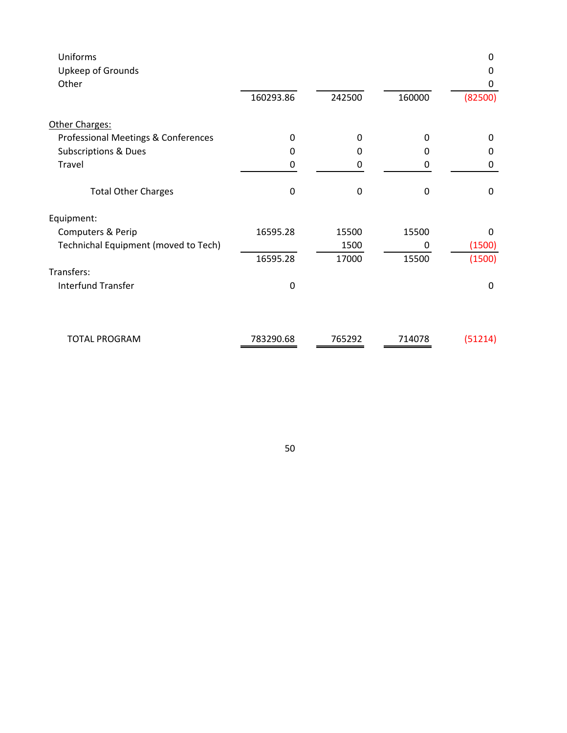| Uniforms<br>Upkeep of Grounds        |                  |        |        | 0<br>0       |
|--------------------------------------|------------------|--------|--------|--------------|
| Other                                | 160293.86        | 242500 | 160000 | 0<br>(82500) |
| Other Charges:                       |                  |        |        |              |
| Professional Meetings & Conferences  | $\Omega$         | 0      | 0      | $\Omega$     |
| <b>Subscriptions &amp; Dues</b>      | 0                | 0      | 0      | 0            |
| Travel                               | 0                | 0      | 0      | 0            |
| <b>Total Other Charges</b>           | $\boldsymbol{0}$ | 0      | 0      | 0            |
| Equipment:                           |                  |        |        |              |
| Computers & Perip                    | 16595.28         | 15500  | 15500  | $\Omega$     |
| Technichal Equipment (moved to Tech) |                  | 1500   | 0      | (1500)       |
|                                      | 16595.28         | 17000  | 15500  | (1500)       |
| Transfers:                           |                  |        |        |              |
| <b>Interfund Transfer</b>            | $\mathbf 0$      |        |        | 0            |
|                                      |                  |        |        |              |
| <b>TOTAL PROGRAM</b>                 | 783290.68        | 765292 | 714078 | (51214)      |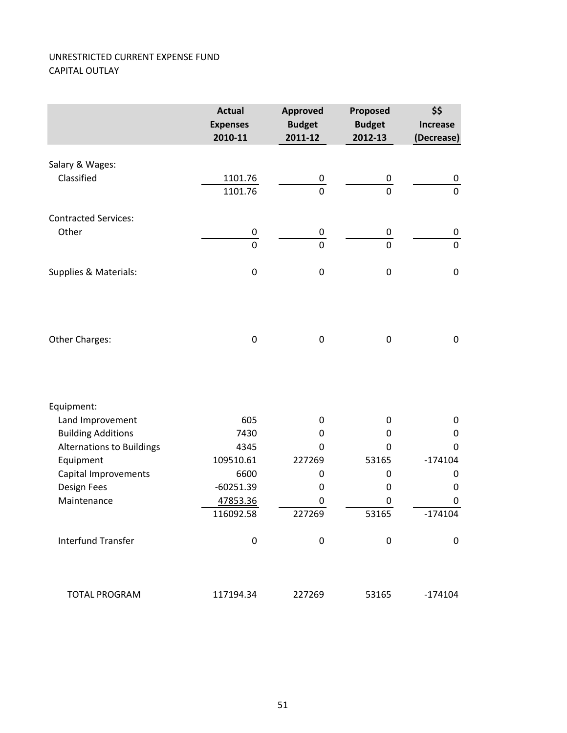## UNRESTRICTED CURRENT EXPENSE FUND CAPITAL OUTLAY

|                                               | <b>Actual</b><br><b>Expenses</b><br>2010-11 | <b>Approved</b><br><b>Budget</b><br>2011-12 | Proposed<br><b>Budget</b><br>2012-13 | \$\$<br><b>Increase</b><br>(Decrease) |
|-----------------------------------------------|---------------------------------------------|---------------------------------------------|--------------------------------------|---------------------------------------|
| Salary & Wages:                               |                                             |                                             |                                      |                                       |
| Classified                                    | 1101.76                                     | 0                                           | 0                                    | 0                                     |
|                                               | 1101.76                                     | $\mathbf 0$                                 | $\mathbf 0$                          | $\pmb{0}$                             |
| <b>Contracted Services:</b>                   |                                             |                                             |                                      |                                       |
| Other                                         | 0                                           | $\overline{0}$                              | $\overline{0}$                       | 0                                     |
|                                               | $\overline{0}$                              | $\overline{0}$                              | $\overline{0}$                       | $\mathbf 0$                           |
| Supplies & Materials:                         | $\boldsymbol{0}$                            | $\boldsymbol{0}$                            | $\pmb{0}$                            | $\pmb{0}$                             |
|                                               |                                             |                                             |                                      |                                       |
| Other Charges:                                | $\boldsymbol{0}$                            | $\boldsymbol{0}$                            | $\mathbf 0$                          | $\pmb{0}$                             |
|                                               |                                             |                                             |                                      |                                       |
| Equipment:                                    |                                             |                                             |                                      |                                       |
| Land Improvement                              | 605                                         | 0                                           | 0                                    | $\mathbf 0$                           |
| <b>Building Additions</b>                     | 7430                                        | 0                                           | 0                                    | $\mathbf 0$                           |
| <b>Alternations to Buildings</b><br>Equipment | 4345<br>109510.61                           | 0<br>227269                                 | $\Omega$<br>53165                    | $\mathbf 0$<br>$-174104$              |
| Capital Improvements                          | 6600                                        | 0                                           | 0                                    | 0                                     |
| Design Fees                                   | $-60251.39$                                 | 0                                           | 0                                    | 0                                     |
| Maintenance                                   | 47853.36                                    | 0                                           | 0                                    | 0                                     |
|                                               | 116092.58                                   | 227269                                      | 53165                                | $-174104$                             |
| <b>Interfund Transfer</b>                     | 0                                           | $\boldsymbol{0}$                            | $\mathbf 0$                          | $\boldsymbol{0}$                      |
| <b>TOTAL PROGRAM</b>                          | 117194.34                                   | 227269                                      | 53165                                | $-174104$                             |